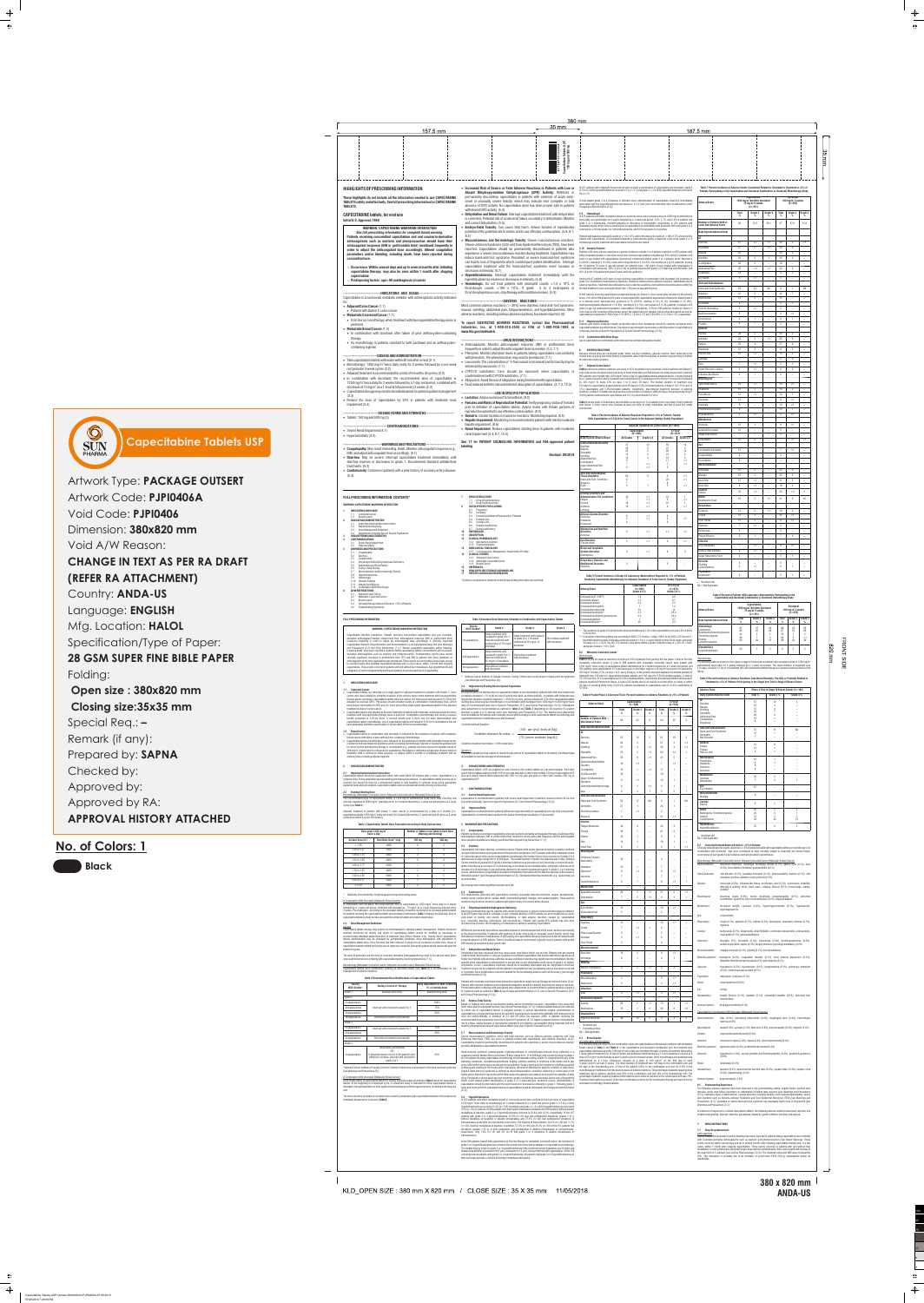$\frac{5}{1}$ 

 $\clubsuit$ 

 $\Rightarrow$ 

| • Reduce the dose of capecitabine by 25% in patients with moderate renal<br>impairment (2.4)<br>---DOSAGE FORMS AND STRENGTHS------------------------<br>--------------------------<br>• Tablets: $150 \text{ mg}$ and $500 \text{ mg}$ (3)<br>--------------------------------CONTRAINDICATIONS-------------------------------<br>• Severe Renal Impairment $(4.1)$<br>• Hypersensitivity $(4.2)$<br>--------------------------------WARNINGS AND PRECAUTIONS------------------------<br>• Coagulopathy: May result in bleeding, death. Monitor anticoagulant response (e.g.<br>INR) and adjust anticoagulant dose accordingly. (5.1)<br>• Diarrhea: May be severe. Interrupt capecitabine treatment immediately until<br>diarrhea resolves or decreases to grade 1. Recommend standard antidiarrheal<br>treatments. (5.2)<br>• Cardiotoxicity: Common in patients with a prior history of coronary artery disease<br>(5.3) | hepatic impairment. (8.6)<br>labeling                      | • Lactation: Advise women not to breastfeed. (8.2)<br>• Females and Males of Reproductive Potential: Verify pregnancy status of females<br>prior to initiation of capecitabine tablets. Advise males with female partners of<br>reproductive potential to use effective contraception. (8.3)<br>• Geriatric: Greater incidence of adverse reactions. Monitoring required. (8.5)<br>• Hepatic Impairment: Monitoring is recommended in patients with mild to moderate<br>• Renal Impairment: Reduce capecitabine starting dose in patients with moderate<br>renal impairment $(2.4, 8.7, 12.3)$<br>See 17 for PATIENT COUNSELING INFORMATION and FDA-approved patient | Table 5 shows grade 3/4 laboratory abnormalities occurring in $\geq$ 1% of patients from one phase 3 trial in patients<br>with Dukes' C colon cancer who received at least one dose of study medication and had at least one safety<br>assessment.<br>Table 4 Percent Incidence of Adverse Reactions Reported in ≥5% of Patients Treated<br>With Capecitabine or 5-FU/LV for Colon Cancer in the Adjuvant Setting (Safety Population)<br><b>Body System/Adverse Event</b><br><b>Gastrointestinal Disorders</b><br>Diarrhea<br>Nausea<br>Stomatitis<br>Vomiting<br>Abdominal Pain<br>Constipation<br>Upper Abdominal Pain<br>Dyspepsia<br><b>Skin and Subcutaneous</b><br><b>Tissue Disorders</b><br>Hand-and-Foot Syndrome | Capecitabine<br>$(N = 995)$<br><b>All Grades</b><br>47<br>34<br>22<br>15<br>14<br>60                                                                                                                                                                                                                                                                                                                                                                                                                                                                                                                               | Adjuvant Treatment for Colon Cancer (N=1969)<br>Grade 3/4<br>$<$ 1<br>$<$ 1<br>17 | <b>All Grades</b><br>65<br>47<br>60<br>21<br>16<br>11<br>22 | 5-FU/LV<br>$(N=974)$<br>Grade 3/4<br>14<br>$\overline{2}$<br>14<br>$\overline{2}$<br>-2<br>$<$ 1<br><1<br>$<$ 1<br>$<$ 1 | <b>Dizziness</b><br>Insomnia<br>Peripheral Neuropathy<br>Hypoaesthesia<br><b>Metabolism</b><br>Anorexia<br>Appetite Decreased<br><b>Weight Decreased</b><br>Dehydration<br>Eye<br><b>Lacrimation Increased</b><br>Conjunctivitis<br>Eye Irritation<br><b>Musculoskeletal</b><br>Arthralgia<br>Myalgia<br><b>Back Pain</b> | 12<br>- 8<br>- 6<br>$\overline{4}$<br>13<br>10 <sup>1</sup><br>$\overline{7}$<br>10 <sup>1</sup><br>12<br>- 5<br>5<br>15<br>15<br>12                                                                                                                                                                                                 | $\overline{\phantom{a}}$<br><1<br>$\overline{\phantom{a}}$<br>$\overline{\phantom{a}}$<br>$\overline{2}$<br>$\overline{\phantom{a}}$<br>$\overline{\phantom{a}}$<br>2<br>$\overline{2}$<br>$<$ 1 | $\overline{\phantom{a}}$<br>$\sim$<br>$\overline{\phantom{0}}$<br>$\sim$                    | 10<br>10<br>8<br>11<br>5 <sup>5</sup><br>-5<br>7<br>$\overline{7}$<br>$\overline{4}$<br>$\mathbf{1}$<br>24<br>25<br>11 | $<$ 1<br><1<br>$\overline{1}$<br><1<br><1<br>$\overline{\phantom{m}}$<br>$\overline{\phantom{a}}$<br><1<br><1<br>$\overline{\phantom{a}}$<br>$\overline{\phantom{a}}$<br>$\overline{3}$<br>$\overline{2}$<br>$\mathbf{3}$ | $\sim$<br>$\sim$<br>$\sim$<br>$\hspace{0.1mm}-\hspace{0.1mm}$<br>$\sim$<br><1<br>$\sim$<br>$\sim$<br>$\hspace{0.1mm}-\hspace{0.1mm}$<br>$\sim$ |                                    |
|------------------------------------------------------------------------------------------------------------------------------------------------------------------------------------------------------------------------------------------------------------------------------------------------------------------------------------------------------------------------------------------------------------------------------------------------------------------------------------------------------------------------------------------------------------------------------------------------------------------------------------------------------------------------------------------------------------------------------------------------------------------------------------------------------------------------------------------------------------------------------------------------------------------------------|------------------------------------------------------------|----------------------------------------------------------------------------------------------------------------------------------------------------------------------------------------------------------------------------------------------------------------------------------------------------------------------------------------------------------------------------------------------------------------------------------------------------------------------------------------------------------------------------------------------------------------------------------------------------------------------------------------------------------------------|----------------------------------------------------------------------------------------------------------------------------------------------------------------------------------------------------------------------------------------------------------------------------------------------------------------------------------------------------------------------------------------------------------------------------------------------------------------------------------------------------------------------------------------------------------------------------------------------------------------------------------------------------------------------------------------------------------------------------|--------------------------------------------------------------------------------------------------------------------------------------------------------------------------------------------------------------------------------------------------------------------------------------------------------------------------------------------------------------------------------------------------------------------------------------------------------------------------------------------------------------------------------------------------------------------------------------------------------------------|-----------------------------------------------------------------------------------|-------------------------------------------------------------|--------------------------------------------------------------------------------------------------------------------------|---------------------------------------------------------------------------------------------------------------------------------------------------------------------------------------------------------------------------------------------------------------------------------------------------------------------------|--------------------------------------------------------------------------------------------------------------------------------------------------------------------------------------------------------------------------------------------------------------------------------------------------------------------------------------|--------------------------------------------------------------------------------------------------------------------------------------------------------------------------------------------------|---------------------------------------------------------------------------------------------|------------------------------------------------------------------------------------------------------------------------|---------------------------------------------------------------------------------------------------------------------------------------------------------------------------------------------------------------------------|------------------------------------------------------------------------------------------------------------------------------------------------|------------------------------------|
|                                                                                                                                                                                                                                                                                                                                                                                                                                                                                                                                                                                                                                                                                                                                                                                                                                                                                                                              |                                                            |                                                                                                                                                                                                                                                                                                                                                                                                                                                                                                                                                                                                                                                                      |                                                                                                                                                                                                                                                                                                                                                                                                                                                                                                                                                                                                                                                                                                                            | Alopecia<br>Rash<br>Erythema<br><b>General Disorders and</b>                                                                                                                                                                                                                                                                                                                                                                                                                                                                                                                                                       |                                                                                   |                                                             |                                                                                                                          | <1                                                                                                                                                                                                                                                                                                                        | <b>Bone Pain</b><br>Cardiac<br>Edema                                                                                                                                                                                                                                                                                                 | - 8<br>33                                                                                                                                                                                        | <1<br>$<$ 2                                                                                 | $\sim$                                                                                                                 | 10<br>34                                                                                                                                                                                                                  | $\overline{2}$<br>$<$ 3                                                                                                                        | $\sim$<br>$\blacksquare$           |
| FULL PRESCRIBING INFORMATION: CONTENTS*<br>WARNING: CAPECITABINE-WARFARIN INTERACTION                                                                                                                                                                                                                                                                                                                                                                                                                                                                                                                                                                                                                                                                                                                                                                                                                                        | <b>DRUG INTERACTIONS</b><br>7.1<br>7.2<br>8.1<br>Pregnancy | Drug-Drug Interactions<br>Drug-Food Interaction<br>USE IN SPECIFIC POPULATIONS                                                                                                                                                                                                                                                                                                                                                                                                                                                                                                                                                                                       | <b>Administration Site Conditions</b><br>Fatigue<br>Pyrexia<br>Asthenia<br>Lethargy                                                                                                                                                                                                                                                                                                                                                                                                                                                                                                                                                                                                                                        | 16<br>10 <sup>1</sup><br>10 <sup>1</sup>                                                                                                                                                                                                                                                                                                                                                                                                                                                                                                                                                                           | $<$ 1<br>$<$ 1<br>$<$ 1<br>< 1                                                    | 16<br>q<br>10                                               | <1<br><1                                                                                                                 | <b>Blood</b><br>Neutropenic Fever<br>Respiratory<br>Dyspnea                                                                                                                                                                                                                                                               | 16<br>14                                                                                                                                                                                                                                                                                                                             | $\overline{2}$                                                                                                                                                                                   | 13<br><1                                                                                    | 21<br>16                                                                                                               | $\overline{2}$                                                                                                                                                                                                            | 16<br>$\sim$                                                                                                                                   |                                    |
| INDICATIONS AND USAGE<br>1.1 Colorectal Cancer<br>1.2 Breast Cancer<br>DOSAGE AND ADMINISTRATION<br>2.1 Important Administration Instructions                                                                                                                                                                                                                                                                                                                                                                                                                                                                                                                                                                                                                                                                                                                                                                                | 8.2<br>Lactation<br>8.3<br>8.4<br>8.5<br>8.6               | Females and Males of Reproductive Potential<br>Pediatric Use<br>Geriatric Use<br>Hepatic Insufficiency                                                                                                                                                                                                                                                                                                                                                                                                                                                                                                                                                               |                                                                                                                                                                                                                                                                                                                                                                                                                                                                                                                                                                                                                                                                                                                            | <b>Nervous System Disorders</b><br><b>Dizziness</b><br>Headache<br>Dysgeusia                                                                                                                                                                                                                                                                                                                                                                                                                                                                                                                                       | 6                                                                                 | $<$ 1<br>$<$ 1                                              | q                                                                                                                        | <1                                                                                                                                                                                                                                                                                                                        | Cough<br>Sore Throat<br>Epistaxis                                                                                                                                                                                                                                                                                                    | 13<br>12<br>$\overline{7}$                                                                                                                                                                       | $\mathbf{1}$<br>$\overline{2}$<br><1                                                        | $\overline{\phantom{a}}$<br>$\sim$                                                                                     | 22<br>11<br>-6                                                                                                                                                                                                            | <1<br><1<br>$\overline{\phantom{a}}$                                                                                                           | $\overline{\phantom{0}}$<br>$\sim$ |
| 2.2 Standard Starting Dose<br>2.3 Dose Management Guidelines<br>2.4 Adjustment of Starting Dose in Special Populations<br>DOSAGE FORMS AND STRENGTHS<br>-3<br><b>CONTRAINDICATIONS</b>                                                                                                                                                                                                                                                                                                                                                                                                                                                                                                                                                                                                                                                                                                                                       | 8.7<br>OVERDOSAGE<br>10<br><b>DESCRIPTION</b><br>-11<br>12 | Renal Insufficiency<br>CLINICAL PHARMACOLOGY                                                                                                                                                                                                                                                                                                                                                                                                                                                                                                                                                                                                                         |                                                                                                                                                                                                                                                                                                                                                                                                                                                                                                                                                                                                                                                                                                                            | <b>Metabolism and Nutrition</b><br><b>Disorders</b><br>Anorexia<br><b>Eye Disorders</b>                                                                                                                                                                                                                                                                                                                                                                                                                                                                                                                            | $\mathbf{q}$<br>-5                                                                | $<$ 1<br>$<$ 1                                              | 11                                                                                                                       | <1<br><1                                                                                                                                                                                                                                                                                                                  | Rhinorrhea<br><b>Pleural Effusion</b><br><b>Infection</b>                                                                                                                                                                                                                                                                            | - 5<br>$\overline{2}$                                                                                                                                                                            | -                                                                                           | $\overline{\phantom{0}}$                                                                                               | 3<br>7                                                                                                                                                                                                                    | $\overline{\phantom{a}}$<br>$\overline{4}$                                                                                                     | $\sim$<br>$\sim$                   |
| 4.1 Severe Renal Impairment<br>4.2 Hypersensitivity<br><b>WARNINGS AND PRECAUTIONS</b><br>5.1<br>Coagulopathy<br>5.2<br>Diarrhea                                                                                                                                                                                                                                                                                                                                                                                                                                                                                                                                                                                                                                                                                                                                                                                             | 12.3 Pharmacokinetics<br>13<br><b>CLINICAL STUDIES</b>     | 12.1 Mechanism of Action<br>NONCLINICAL TOXICOLOGY<br>13.1 Carcinogenesis, Mutagenesis, Impairment of Fertility                                                                                                                                                                                                                                                                                                                                                                                                                                                                                                                                                      |                                                                                                                                                                                                                                                                                                                                                                                                                                                                                                                                                                                                                                                                                                                            | Conjunctivitis<br><b>Blood and Lymphatic</b><br><b>System Disorders</b><br>Neutropenia                                                                                                                                                                                                                                                                                                                                                                                                                                                                                                                             | $\overline{2}$                                                                    | $<$ 1                                                       |                                                                                                                          | .5                                                                                                                                                                                                                                                                                                                        | Oral Candidiasis<br>Urinary Tract Infection<br><b>Upper Respiratory Tract</b>                                                                                                                                                                                                                                                        | $\overline{7}$<br>- 6<br>$\overline{4}$                                                                                                                                                          | <1<br><1<br>$\sim$                                                                          | $\sim$<br>$\sim$                                                                                                       | 8<br>$\overline{4}$<br>5                                                                                                                                                                                                  | <1<br>$\overline{\phantom{a}}$<br>$\overline{1}$                                                                                               | $\sim$<br>$\sim$                   |
| 5.3<br>Cardiotoxicity<br>Dihydropyrimidine Dehydrogenase Deficiency<br>5.4<br>5.5<br>Dehydration and Renal Failure<br>5.6<br>Embryo-Fetal Toxicity                                                                                                                                                                                                                                                                                                                                                                                                                                                                                                                                                                                                                                                                                                                                                                           | 14.3 Breast Cancer<br><b>REFERENCES</b><br>15              | 14.1 Adjuvant Colon Cancer<br>14.2 Metastatic Colorectal Cancer<br>HOW SUPPLIED/STORAGE AND HANDLING                                                                                                                                                                                                                                                                                                                                                                                                                                                                                                                                                                 |                                                                                                                                                                                                                                                                                                                                                                                                                                                                                                                                                                                                                                                                                                                            | <b>Respiratory Thoracic and</b><br><b>Mediastinal Disorders</b><br>Epistaxis                                                                                                                                                                                                                                                                                                                                                                                                                                                                                                                                       | $\overline{2}$                                                                    |                                                             | 5                                                                                                                        |                                                                                                                                                                                                                                                                                                                           | <b>Vascular</b><br>Flushing<br>Lymphoedema                                                                                                                                                                                                                                                                                           | -5<br>- 3                                                                                                                                                                                        | <1                                                                                          | $\overline{\phantom{a}}$                                                                                               | 5                                                                                                                                                                                                                         |                                                                                                                                                | $\sim$<br>$\sim$                   |
| 5.7<br>Mucocutaneous and Dermatologic Toxicity<br>5.8<br>Hyperbilirubinemia<br>5.9 Hematologic<br>5.10 Geriatric Patients<br>5.11 Hepatic Insufficiency                                                                                                                                                                                                                                                                                                                                                                                                                                                                                                                                                                                                                                                                                                                                                                      | 17                                                         | PATIENT COUNSELING INFORMATION<br>*Sections or subsections omitted from the full prescribing information are not listed                                                                                                                                                                                                                                                                                                                                                                                                                                                                                                                                              |                                                                                                                                                                                                                                                                                                                                                                                                                                                                                                                                                                                                                                                                                                                            | Table 5 Percent Incidence of Grade 3/4 Laboratory Abnormalities Reported in $\geq$ 1% of Patients<br>Receiving Capecitabine Monotherapy for Adjuvant Treatment of Colon Cancer (Safety Population)                                                                                                                                                                                                                                                                                                                                                                                                                 |                                                                                   |                                                             |                                                                                                                          |                                                                                                                                                                                                                                                                                                                           | Psychiatric<br>Depression<br>- Not observed<br>$NA = Not Applicable$                                                                                                                                                                                                                                                                 | -5                                                                                                                                                                                               |                                                                                             |                                                                                                                        | 5                                                                                                                                                                                                                         |                                                                                                                                                | $\sim$                             |
| 5.12 Combination With Other Drugs<br><b>ADVERSE REACTIONS</b><br>6.1 Adjuvant Colon Cancer<br>Metastatic Colorectal Cance                                                                                                                                                                                                                                                                                                                                                                                                                                                                                                                                                                                                                                                                                                                                                                                                    |                                                            |                                                                                                                                                                                                                                                                                                                                                                                                                                                                                                                                                                                                                                                                      |                                                                                                                                                                                                                                                                                                                                                                                                                                                                                                                                                                                                                                                                                                                            | <b>Adverse Event</b><br>Increased ALAT (SGPT)                                                                                                                                                                                                                                                                                                                                                                                                                                                                                                                                                                      |                                                                                   | Capecitabine<br>$(n=995)$<br>Grade 3/4 %<br>1.6             | IV 5-FU/LV<br>$(n=974)$<br>Grade 3/4 %<br>0.6<br>0.7                                                                     |                                                                                                                                                                                                                                                                                                                           | Table 8 Percent of Patients With Laboratory Abnormalities Participating in the                                                                                                                                                                                                                                                       | <b>Capecitabine and Docetaxel Combination vs Docetaxel Monotherapy Study</b>                                                                                                                     |                                                                                             |                                                                                                                        |                                                                                                                                                                                                                           |                                                                                                                                                |                                    |
|                                                                                                                                                                                                                                                                                                                                                                                                                                                                                                                                                                                                                                                                                                                                                                                                                                                                                                                              |                                                            |                                                                                                                                                                                                                                                                                                                                                                                                                                                                                                                                                                                                                                                                      | Increased calcium                                                                                                                                                                                                                                                                                                                                                                                                                                                                                                                                                                                                                                                                                                          |                                                                                                                                                                                                                                                                                                                                                                                                                                                                                                                                                                                                                    | 1.1                                                                               |                                                             |                                                                                                                          |                                                                                                                                                                                                                                                                                                                           |                                                                                                                                                                                                                                                                                                                                      |                                                                                                                                                                                                  |                                                                                             |                                                                                                                        |                                                                                                                                                                                                                           |                                                                                                                                                |                                    |
| 6.3<br><b>Breast Cancer</b><br>6.4<br>Clinically Relevant Adverse Events in <5% of Patients<br>6.5<br>Postmarketing Experience                                                                                                                                                                                                                                                                                                                                                                                                                                                                                                                                                                                                                                                                                                                                                                                               |                                                            |                                                                                                                                                                                                                                                                                                                                                                                                                                                                                                                                                                                                                                                                      |                                                                                                                                                                                                                                                                                                                                                                                                                                                                                                                                                                                                                                                                                                                            | Decreased calcium<br>Decreased hemoglobin<br>Decreased lymphocytes                                                                                                                                                                                                                                                                                                                                                                                                                                                                                                                                                 |                                                                                   | 2.3<br>13                                                   | 1.2                                                                                                                      | 2.2<br>13                                                                                                                                                                                                                                                                                                                 | <b>Adverse Event</b>                                                                                                                                                                                                                                                                                                                 |                                                                                                                                                                                                  | <b>Capecitabine</b><br>1250 mg/m <sup>2</sup> /bid With Docetaxel<br>75 mg/m $^{2}/3$ weeks |                                                                                                                        |                                                                                                                                                                                                                           | <b>Docetaxel</b><br>100 mg/m <sup>2</sup> /3 weeks                                                                                             |                                    |
| <b>FULL PRESCRIBING INFORMATION</b>                                                                                                                                                                                                                                                                                                                                                                                                                                                                                                                                                                                                                                                                                                                                                                                                                                                                                          |                                                            | Table 3 Docetaxel Dose Reduction Schedule in Combination with Capecitabine Tablets                                                                                                                                                                                                                                                                                                                                                                                                                                                                                                                                                                                   |                                                                                                                                                                                                                                                                                                                                                                                                                                                                                                                                                                                                                                                                                                                            | Decreased neutrophils*<br>Decreased neutrophils/granulocytes<br>Decreased platelets<br>Increased bilirubin**                                                                                                                                                                                                                                                                                                                                                                                                                                                                                                       |                                                                                   | 2.2<br>2.4<br>20                                            | 26.2<br>26.4<br>0.7<br>6.3                                                                                               |                                                                                                                                                                                                                                                                                                                           | <b>Body System/Adverse Event</b>                                                                                                                                                                                                                                                                                                     | Total<br>$\%$                                                                                                                                                                                    | $(n=251)$<br>Grade 3<br>$\%$                                                                | Grade 4<br>$\%$                                                                                                        | Total<br>%                                                                                                                                                                                                                | $(n=255)$<br>Grade 3   Grade 4<br>$\%$                                                                                                         | %                                  |
| <b>WARNING: CAPECITABINE-WARFARIN INTERACTION</b><br>Capecitabine Warfarin Interaction: Patients receiving concomitant capecitabine and oral coumarin-                                                                                                                                                                                                                                                                                                                                                                                                                                                                                                                                                                                                                                                                                                                                                                       | <b>Toxicity</b><br><b>NCIC Grades*</b>                     | Grade 2<br>Grade 3<br>Delay treatment until<br>Delay treatment until resolved<br>resolved to grade 0 to 1;                                                                                                                                                                                                                                                                                                                                                                                                                                                                                                                                                           | Grade 4                                                                                                                                                                                                                                                                                                                                                                                                                                                                                                                                                                                                                                                                                                                    | * The incidence of grade 3/4 white blood cell abnormalities was 1.3% in the capecitabine arm and 4.9% in the IV<br>5-FU/LV arm.<br>** It should be noted that grading was according to NCIC CTC Version 1 (May, 1994). In the NCIC-CTC Version 1                                                                                                                                                                                                                                                                                                                                                                   |                                                                                   |                                                             |                                                                                                                          |                                                                                                                                                                                                                                                                                                                           | <b>Hematologic</b><br>Leukopenia<br>Neutropenia/Granulocytopenia<br>Thrombocytopenia                                                                                                                                                                                                                                                 | -91<br>86<br>41<br>80                                                                                                                                                                            | 37<br>20<br>$\overline{2}$                                                                  | 24<br>49<br>$\mathbf{R}$                                                                                               | 88<br>87<br>23<br>83                                                                                                                                                                                                      | 42<br>10<br>-5                                                                                                                                 | 33<br>66<br>$\overline{2}$<br><1   |
| derivative anticoagulant therapy should have their anticoagulant response (INR or prothrombin time)<br>monitored frequently in order to adjust the anticoagulant dose accordingly. A clinically important<br>Capecitabine-Warfarin drug interaction was demonstrated in a clinical pharmacology trial [see Warnings<br>and Precautions (5.2) and Drug Interactions (7.1)]. Altered coagulation parameters and/or bleeding,<br>including death, have been reported in patients taking capecitabine tablets concomitantly with coumarin-                                                                                                                                                                                                                                                                                                                                                                                       | 1st appearance                                             | to grade 0 to 1; Resume<br>Resume treatment with<br>treatment at 55 mg/m <sup>2</sup> of<br>original dose of 75 mg/m <sup>2</sup><br>docetaxel.<br>docetaxel<br>Delay treatment until                                                                                                                                                                                                                                                                                                                                                                                                                                                                                | Discontinue treatment<br>with docetaxel                                                                                                                                                                                                                                                                                                                                                                                                                                                                                                                                                                                                                                                                                    | hyperbilirubinemia grade 3 indicates a bilirubin value of 1.5 to $3 \times$ upper limit of normal (ULN) range, and grade<br>4 a value of $>3 \times$ ULN. The NCI CTC Version 2 and above define a grade 3 bilirubin value of $>3$ to 10 $\times$ ULN,<br>and grade 4 values $>10 \times$ ULN.                                                                                                                                                                                                                                                                                                                     |                                                                                   |                                                             |                                                                                                                          |                                                                                                                                                                                                                                                                                                                           | Anemia<br>Lymphocytopenia<br>Hepatobiliary<br>Hyperbilirubinemia                                                                                                                                                                                                                                                                     | 99<br>20                                                                                                                                                                                         | 48<br>$\overline{7}$                                                                        | 41<br>$\overline{2}$                                                                                                   | 98<br>6                                                                                                                                                                                                                   | 44<br>2                                                                                                                                        | 40<br>$\overline{2}$               |
| derivative anticoagulants such as warfarin and phenprocoumon. Postmarketing reports have shown<br>clinically significant increases in prothrombin time (PT) and INR in patients who were stabilized on<br>anticoagulants at the time capecitabine was introduced. These events occurred within several days and up<br>to several months after initiating capecitabine therapy and, in a few cases, within 1 month after stopping                                                                                                                                                                                                                                                                                                                                                                                                                                                                                             | 2nd appearance                                             | resolved to grade 0 to 1;<br>Discontinue treatment<br>Resume treatment at<br>with docetaxel<br>55 mg/m <sup>2</sup> of docetaxel.<br>Discontinue treatment                                                                                                                                                                                                                                                                                                                                                                                                                                                                                                           |                                                                                                                                                                                                                                                                                                                                                                                                                                                                                                                                                                                                                                                                                                                            | 6.2 Metastatic Colorectal Cancer<br>Monotherapy<br><b>Table 6</b> shows the adverse reactions occurring in $\geq$ 5% of patients from pooling the two phase 3 trials in first line<br>metastatic colorectal cancer. A total of 596 patients with metastatic colorectal cancer were treated with<br>1250 mq/m <sup>2</sup> twice a day of capecitabine tablets administered for 2 weeks followed by a 1-week rest period, and                                                                                                                                                                                       |                                                                                   |                                                             |                                                                                                                          |                                                                                                                                                                                                                                                                                                                           | Monotherapy<br>The following data are shown for the study in stage IV breast cancer patients who received a dose of 1250 mg/m <sup>2</sup><br>administered twice daily for 2 weeks followed by a 1-week rest period. The mean duration of treatment was                                                                              |                                                                                                                                                                                                  |                                                                                             |                                                                                                                        |                                                                                                                                                                                                                           |                                                                                                                                                |                                    |
| capecitabine. These events occurred in patients with and without liver metastases. Age greater than 60 and<br>a diagnosis of cancer independently predispose patients to an increased risk of coagulopathy.                                                                                                                                                                                                                                                                                                                                                                                                                                                                                                                                                                                                                                                                                                                  | 3rd appearance                                             | with docetaxel<br>* National Cancer Institute of Canada Common Toxicity Criteria were used except for hand-and-foot syndrome<br>[see Warnings and Precautions (5)].                                                                                                                                                                                                                                                                                                                                                                                                                                                                                                  |                                                                                                                                                                                                                                                                                                                                                                                                                                                                                                                                                                                                                                                                                                                            | 593 patients were administered 5-FU and leucovorin in the Mayo regimen (20 mg/m <sup>2</sup> leucovorin IV followed by<br>425 mg/m <sup>2</sup> IV bolus 5-FU, on days 1 to 5, every 28 days). In the pooled colorectal database the median duration of<br>treatment was 139 days for capecitabine-treated patients and 140 days for 5-FU/LV-treated patients. A total of<br>78 (13%) and 63 (11%) capecitabine and 5-FU/LV-treated patients, respectively, discontinued treatment because of<br>adverse reactions/intercurrent illness. A total of 82 deaths due to all causes occurred either on study or within |                                                                                   |                                                             |                                                                                                                          |                                                                                                                                                                                                                                                                                                                           | 114 days. A total of 13 out of 162 patients (8%) discontinued treatment because of adverse reactions/intercurrent<br>illness.<br>Table 9 Percent Incidence of Adverse Reactions Considered Remotely, Possibly or Probably Related to<br>Treatment in ≥5% of Patients Participating in the Single Arm Trial in Stage IV Breast Cancer |                                                                                                                                                                                                  |                                                                                             |                                                                                                                        |                                                                                                                                                                                                                           |                                                                                                                                                |                                    |
| <b>INDICATIONS AND USAGE</b><br>1.1 Colorectal Cancer<br>o Capecitabine tablets are indicated as a single agent for adjuvant treatment in patients with Dukes' C colon                                                                                                                                                                                                                                                                                                                                                                                                                                                                                                                                                                                                                                                                                                                                                       | Renal Impairment                                           | 2.4 Adjustment of Starting Dose in Special Populations<br>No adjustment to the starting dose of capecitabine tablets is recommended in patients with mild renal impairment                                                                                                                                                                                                                                                                                                                                                                                                                                                                                           |                                                                                                                                                                                                                                                                                                                                                                                                                                                                                                                                                                                                                                                                                                                            | 28 days of receiving study drug: 50 (8.4%) patients randomized to capecitabine and 32 (5.4%) randomized to<br>5-FU/LV.                                                                                                                                                                                                                                                                                                                                                                                                                                                                                             |                                                                                   |                                                             |                                                                                                                          |                                                                                                                                                                                                                                                                                                                           | <b>Adverse Event</b>                                                                                                                                                                                                                                                                                                                 |                                                                                                                                                                                                  |                                                                                             | Phase 2 Trial in Stage IV Breast Cancer (n=162)                                                                        |                                                                                                                                                                                                                           |                                                                                                                                                |                                    |
| cancer who have undergone complete resection of the primary tumor when treatment with fluoropyrimidine<br>therapy alone is preferred. Capecitabine tablets were non-inferior to 5-fluorouracil and leucovorin (5-FU/LV) for<br>disease-free survival (DFS). Physicians should consider results of combination chemotherapy trials, which                                                                                                                                                                                                                                                                                                                                                                                                                                                                                                                                                                                     |                                                            | (creatinine clearance = 51 to 80 mL/min [Cockroft and Gault, as shown below]). In patients with moderate renal<br>impairment (baseline creatinine clearance $=$ 30 to 50 mL/min), a dose reduction to 75% of the capecitabine tablets<br>starting dose when used as monotherapy or in combination with docetaxel (from 1250 mg/m <sup>2</sup> to 950 mg/m <sup>2</sup> twice                                                                                                                                                                                                                                                                                         |                                                                                                                                                                                                                                                                                                                                                                                                                                                                                                                                                                                                                                                                                                                            | Table 6 Pooled Phase 3 Colorectal Trials: Percent Incidence of Adverse Reactions in $\geq 5\%$ of Patients                                                                                                                                                                                                                                                                                                                                                                                                                                                                                                         | <b>Capecitabine</b>                                                               |                                                             | 5-FU/LV                                                                                                                  |                                                                                                                                                                                                                                                                                                                           | <b>Body System/Adverse Event</b><br>GI                                                                                                                                                                                                                                                                                               |                                                                                                                                                                                                  | Total %<br>57                                                                               | Grade 3 %<br>12                                                                                                        |                                                                                                                                                                                                                           | Grade 4 %                                                                                                                                      |                                    |
| have shown improvement in DFS and OS, when prescribing single-agent capecitabine tablets in the adjuvant<br>treatment of Dukes' C colon cancer.<br>Capecitabine tablets are indicated as first-line treatment of patients with metastatic colorectal carcinoma when<br>treatment with fluoropyrimidine therapy alone is preferred. Combination chemotherapy has shown a survival                                                                                                                                                                                                                                                                                                                                                                                                                                                                                                                                             |                                                            | daily) is recommended (see Use in Specific Populations (8.7) and Clinical Pharmacology (12.3)]. Subsequent<br>dose adjustment is recommended as outlined in Table 2 and Table 3 (depending on the regimen) if a patient<br>develops a grade 2 to 4 adverse event (see Warnings and Precautions (5.5). The starting dose adjustment<br>recommendations for patients with moderate renal impairment apply to both capecitabine tablets monotherapy and                                                                                                                                                                                                                 |                                                                                                                                                                                                                                                                                                                                                                                                                                                                                                                                                                                                                                                                                                                            | <b>Adverse Event</b>                                                                                                                                                                                                                                                                                                                                                                                                                                                                                                                                                                                               | $(n=596)$<br>Total<br>%<br>$\frac{9}{6}$                                          | Grade 4<br>Grade 3<br>%                                     | <b>Total</b><br>%<br>%                                                                                                   | $(n=593)$<br>Grade 3 Grade 4<br>%                                                                                                                                                                                                                                                                                         | Diarrhea<br>Nausea<br>Vomitina<br>Stomatitis                                                                                                                                                                                                                                                                                         |                                                                                                                                                                                                  | 53<br>37<br>24<br>20                                                                        |                                                                                                                        |                                                                                                                                                                                                                           |                                                                                                                                                |                                    |
| benefit compared to 5-FU/LV alone. A survival benefit over 5-FU/LV has not been demonstrated with<br>capecitabine tablets monotherapy. Use of capecitabine tablets are instead of 5-FU/LV in combinations has not<br>been adequately studied to assure safety or preservation of the survival advantage.                                                                                                                                                                                                                                                                                                                                                                                                                                                                                                                                                                                                                     | Cockroft and Gault Equation:                               | capecitabine tablets in combination use with docetaxel.                                                                                                                                                                                                                                                                                                                                                                                                                                                                                                                                                                                                              |                                                                                                                                                                                                                                                                                                                                                                                                                                                                                                                                                                                                                                                                                                                            | Number of Patients With ><br><b>One Adverse Event</b><br><b>Body System/Adverse Event</b>                                                                                                                                                                                                                                                                                                                                                                                                                                                                                                                          | 96                                                                                | 52<br>-9                                                    | 94                                                                                                                       | 45                                                                                                                                                                                                                                                                                                                        | Abdominal Pain<br>Constipation<br>Dyspepsia<br><b>Skin and Subcutaneous</b>                                                                                                                                                                                                                                                          |                                                                                                                                                                                                  | 15<br>8                                                                                     |                                                                                                                        |                                                                                                                                                                                                                           |                                                                                                                                                |                                    |
| 1.2 Breast Cancer<br>o Capecitabine tablets in combination with docetaxel is indicated for the treatment of patients with metastatic<br>breast cancer after failure of prior anthracycline-containing chemotherapy.<br>o Capecitabine tablets monotherapy is also indicated for the treatment of patients with metastatic breast cancer<br>resistant to both paclitaxel and an anthracycline-containing chemotherapy regimen or resistant to paclitaxel and                                                                                                                                                                                                                                                                                                                                                                                                                                                                  |                                                            | $(140 - age [yrs])$ (body wt [kg])<br>Creatinine clearance for males $=$<br>(72) (serum creatinine [mq/dL])<br>Creatinine clearance for females $= 0.85$ x male value                                                                                                                                                                                                                                                                                                                                                                                                                                                                                                |                                                                                                                                                                                                                                                                                                                                                                                                                                                                                                                                                                                                                                                                                                                            | Diarrhea<br>Nausea                                                                                                                                                                                                                                                                                                                                                                                                                                                                                                                                                                                                 | 55<br>-43                                                                         | 13<br>2                                                     | 61<br>51<br>3                                                                                                            | 10<br>$\overline{2}$<br><1                                                                                                                                                                                                                                                                                                | Hand-and-Foot Syndrome<br>Dermatitis<br>Nail Disorder<br>General<br>Fatigue                                                                                                                                                                                                                                                          |                                                                                                                                                                                                  | 57<br>37<br>41                                                                              | 11                                                                                                                     |                                                                                                                                                                                                                           | <b>NA</b>                                                                                                                                      |                                    |
| for whom further anthracycline therapy is not indicated (e.g., patients who have received cumulative doses of<br>$400 \,\mathrm{mg/m^2}$ of doxorubicin or doxorubicin equivalents). Resistance is defined as progressive disease while on<br>treatment, with or without an initial response, or relapse within 6 months of completing treatment with an<br>anthracycline-containing adjuvant regimen.                                                                                                                                                                                                                                                                                                                                                                                                                                                                                                                       | <b>Geriatrics</b>                                          | Physicians should exercise caution in monitoring the effects of capecitabine tablets in the elderly. Insufficient data<br>are available to provide a dosage recommendation.                                                                                                                                                                                                                                                                                                                                                                                                                                                                                          |                                                                                                                                                                                                                                                                                                                                                                                                                                                                                                                                                                                                                                                                                                                            | Vomiting<br>Stomatitis<br>Abdominal Pain<br><b>Gastrointestinal Motility</b>                                                                                                                                                                                                                                                                                                                                                                                                                                                                                                                                       | 27<br>-25<br>-35                                                                  | <1<br><1<br><1                                              | 30<br>62<br>31                                                                                                           | $<$ 1<br>14<br>$\mathbf{1}$                                                                                                                                                                                                                                                                                               | Pyrexia<br>Pain in Limb<br>Neurological<br>Paresthesia                                                                                                                                                                                                                                                                               |                                                                                                                                                                                                  | 12<br>6<br>21                                                                               |                                                                                                                        |                                                                                                                                                                                                                           |                                                                                                                                                |                                    |
| DOSAGE AND ADMINISTRATION<br>2.1 Important Administration Instructions<br>Capecitabine tablets should be swallowed whole with water within 30 minutes after a meal. Capecitabine is a                                                                                                                                                                                                                                                                                                                                                                                                                                                                                                                                                                                                                                                                                                                                        | 3.                                                         | DOSAGE FORMS AND STRENGTHS<br>Capecitabine tablets, USP are supplied as oval, biconvex, film-coated tablets for oral administration. Each light<br>peach colored tablets debossed with '150' on one side and plain on other side contains 150 mg of capecitabine USP<br>and each peach colored tablet debossed with '500' on one side and plain on other side contains 500 mg of                                                                                                                                                                                                                                                                                     |                                                                                                                                                                                                                                                                                                                                                                                                                                                                                                                                                                                                                                                                                                                            | Disorder<br>Constipation<br>Oral Discomfort                                                                                                                                                                                                                                                                                                                                                                                                                                                                                                                                                                        | 10<br>14<br>10                                                                    | $<$ 1<br><1                                                 | 17<br>10                                                                                                                 | $<$ 1<br>$\overline{\phantom{a}}$<br>$\overline{\phantom{a}}$<br>$\overline{\phantom{a}}$                                                                                                                                                                                                                                 | Headache<br><b>Dizziness</b><br>Insomnia<br><b>Metabolism</b>                                                                                                                                                                                                                                                                        |                                                                                                                                                                                                  | 23                                                                                          |                                                                                                                        |                                                                                                                                                                                                                           |                                                                                                                                                |                                    |
| cytotoxic drug. Follow applicable special handling and disposal procedures. <sup>1</sup> If capecitabine tablets must be cut or<br>crushed, this should be done by a professional trained in safe handling of cytotoxic drugs using appropriate<br>equipment and safety procedures. Capecitabine tablets dose is calculated according to body surface area.<br>2.2 Standard Starting Dose                                                                                                                                                                                                                                                                                                                                                                                                                                                                                                                                    | capecitabine USP.<br>CONTRAINDICATIONS<br>4.               |                                                                                                                                                                                                                                                                                                                                                                                                                                                                                                                                                                                                                                                                      |                                                                                                                                                                                                                                                                                                                                                                                                                                                                                                                                                                                                                                                                                                                            | <b>Upper GI Inflammatory</b><br>Disorders<br>Gastrointestinal Hemorrhage<br>lleus                                                                                                                                                                                                                                                                                                                                                                                                                                                                                                                                  |                                                                                   | <1<br><1<br>4                                               | 10<br>3<br>-5                                                                                                            | $\overline{\phantom{m}}$<br>$\overline{2}$<br>$\mathbf{1}$                                                                                                                                                                                                                                                                | Anorexia<br>Dehydration<br>Eye<br>Eye Irritation<br><b>Musculoskeletal</b>                                                                                                                                                                                                                                                           |                                                                                                                                                                                                  | $\overline{7}$<br>15                                                                        |                                                                                                                        |                                                                                                                                                                                                                           |                                                                                                                                                |                                    |

| $\circ$ | ╱  |
|---------|----|
| 3<br>₹  | U. |
|         |    |

 $\hspace{0.1cm}$ 

|                                                                                                                                                                                        |                                                                                                                                                                                                                                                   | 380 mm                                                                                                                                                                                                                                                                                                                                         |                                                                                                                                                                                                           |                |                                                                                                          |                          |                |                                                          |                                 |
|----------------------------------------------------------------------------------------------------------------------------------------------------------------------------------------|---------------------------------------------------------------------------------------------------------------------------------------------------------------------------------------------------------------------------------------------------|------------------------------------------------------------------------------------------------------------------------------------------------------------------------------------------------------------------------------------------------------------------------------------------------------------------------------------------------|-----------------------------------------------------------------------------------------------------------------------------------------------------------------------------------------------------------|----------------|----------------------------------------------------------------------------------------------------------|--------------------------|----------------|----------------------------------------------------------|---------------------------------|
| 157.5 mm                                                                                                                                                                               | 35 mm                                                                                                                                                                                                                                             |                                                                                                                                                                                                                                                                                                                                                | 187.5 mm                                                                                                                                                                                                  |                |                                                                                                          |                          |                |                                                          |                                 |
|                                                                                                                                                                                        |                                                                                                                                                                                                                                                   |                                                                                                                                                                                                                                                                                                                                                |                                                                                                                                                                                                           |                |                                                                                                          |                          |                |                                                          |                                 |
|                                                                                                                                                                                        | Capecitabine Tablets, USP,<br>150 mg and 500 mg<br><b>THE REACTION</b>                                                                                                                                                                            |                                                                                                                                                                                                                                                                                                                                                |                                                                                                                                                                                                           |                |                                                                                                          |                          |                |                                                          |                                 |
| HIGHLIGHTS OF PRESCRIBING INFORMATION                                                                                                                                                  | • Increased Risk of Severe or Fatal Adverse Reactions in Patients with Low or<br>Absent Dihydropyrimidine Dehydrogenase (DPD) Activity: Withhold or                                                                                               | In 251 patients with metastatic breast cancer who received a combination of capecitabine and docetaxel, grade 3<br>(1.5 to 3 x ULN) hyperbilirubinemia occurred in 7% ( $n=17$ ) and grade 4 ( $>$ 3 x ULN) hyperbilirubinemia occurred in<br>$2\%$ (n=5).                                                                                     | Table 7 Percent Incidence of Adverse Events Considered Related or Unrelated to Treatment in ≥5% of<br>Patients Participating in the Capecitabine and Docetaxel Combination vs Docetaxel Monotherapy Study |                |                                                                                                          |                          |                |                                                          |                                 |
| These highlights do not include all the information needed to use CAPECITABINE<br>TABLETS safely and effectively. See full prescribing information for CAPECITABINE<br><b>TABLETS.</b> | permanently discontinue capecitabine in patients with evidence of acute early-<br>onset or unusually severe toxicity, which may indicate near complete or total<br>absence of DPD activity. No capecitabine dose has been proven safe in patients | If drug-related grade 3 to 4 elevations in bilirubin occur, administration of capecitabine should be immediately<br>interrupted until the hyperbilirubinemia decreases to $\leq$ 3 X ULN /see recommended dose modifications under<br>Dosage and Administration (2.3)].                                                                        | Adverse Event                                                                                                                                                                                             |                | <b>Capecitabine</b><br>1250 mg/m <sup>2</sup> /bid With Docetaxel<br>75 mg/m $^{2}/3$ weeks<br>$(n=251)$ |                          |                | <b>Docetaxel</b><br>100 mg/m $^{2}/3$ weeks<br>$(n=255)$ |                                 |
| <b>CAPECITABINE tablets, for oral use</b>                                                                                                                                              | with absent DPD activity. (5.4)<br>• Dehydration and Renal Failure: Interrupt capecitabine treatment until dehydration                                                                                                                            | 5.9<br>Hematologic<br>In 875 patients with either metastatic breast or colorectal cancer who received a dose of 1250 mg/m <sup>2</sup> administered                                                                                                                                                                                            |                                                                                                                                                                                                           | <b>Total</b>   | Grade 3                                                                                                  | Grade 4<br>%             | Total          |                                                          | Grade $3 \mid$ Grade 4          |
| Initial U.S. Approval: 1998                                                                                                                                                            | is corrected. Potential risk of acute renal failure secondary to dehydration. Monitor<br>and correct dehydration. (5.5).<br>• Embryo-Fetal Toxicity: Can cause fetal harm. Advise females of reproductive                                         | twice daily as monotherapy for 2 weeks followed by a 1-week rest period, 3.2%, 1.7%, and 2.4% of patients had<br>grade 3 or 4 neutropenia, thrombocytopenia or decreases in hemoglobin, respectively. In 251 patients with<br>metastatic breast cancer who received a dose of capecitabine in combination with docetaxel, 68% had grade 3 or 4 | <b>lumber of Patients With at</b><br><b>Least One Adverse Event</b>                                                                                                                                       | 99             | 76.5                                                                                                     | 29.1                     | 97             | 57.6                                                     | 31.8                            |
| <b>WARNING: CAPECITABINE-WARFARIN INTERACTION</b><br>See full prescribing information for complete boxed warning.                                                                      | potential of the potential risk to a fetus and to use effective contraception. (5.6, 8.1)                                                                                                                                                         | neutropenia, 2.8% had grade 3 or 4 thrombocytopenia, and 9.6% had grade 3 or 4 anemia.                                                                                                                                                                                                                                                         | <b>Body System/Adverse Event</b>                                                                                                                                                                          |                |                                                                                                          |                          |                |                                                          |                                 |
| Patients receiving concomitant capecitabine and oral coumarin-derivative                                                                                                               | 8.3)<br>• Mucocutaneous and Dermatologic Toxicity: Severe mucocutaneous reactions                                                                                                                                                                 | Patients with baseline neutrophil counts of $< 1.5 \times 10^9/L$ and/or thrombocyte counts of $< 100 \times 10^9/L$ should not be<br>treated with capecitabine. If unscheduled laboratory assessments during a treatment cycle show grade 3 or 4                                                                                              |                                                                                                                                                                                                           |                |                                                                                                          |                          |                |                                                          |                                 |
| anticoaqulants such as warfarin and phenprocoumon should have their                                                                                                                    |                                                                                                                                                                                                                                                   | hematologic toxicity, treatment with capecitabine should be interrupted.                                                                                                                                                                                                                                                                       | Diarrhea                                                                                                                                                                                                  | 67             | 14                                                                                                       | <1                       | 48             | 5                                                        | <1                              |
| anticoagulant response (INR or prothrombin time) monitored frequently in                                                                                                               | Steven-Johnson Syndrome (SJS) and Toxic Epidermal Necrolysis (TEN), have been<br>reported. Capecitabine should be permanently discontinued in patients who                                                                                        | 5.10 Geriatric Patients                                                                                                                                                                                                                                                                                                                        | Stomatitis                                                                                                                                                                                                | 67             | 17                                                                                                       | <1                       | 43             | -5                                                       |                                 |
| order to adjust the anticoagulant dose accordingly. Altered coagulation                                                                                                                | experience a severe mucocutaneous reaction during treatment. Capecitabine may                                                                                                                                                                     | Patients ≥80 years old may experience a greater incidence of grade 3 or 4 adverse reactions. In 875 patients with                                                                                                                                                                                                                              | Nausea                                                                                                                                                                                                    | 45             | $\overline{7}$                                                                                           | $\sim$                   | 36             | 2                                                        | $\sim$                          |
| parameters and/or bleeding, including death, have been reported during                                                                                                                 | induce hand-and-foot syndrome. Persistent or severe hand-and-foot syndrome                                                                                                                                                                        | either metastatic breast or colorectal cancer who received capecitabine monotherapy, 62% of the 21 patients $\geq$ 80                                                                                                                                                                                                                          | /omiting                                                                                                                                                                                                  | 35             | $\overline{4}$                                                                                           | $\overline{1}$           | 24             | 2                                                        | $\sim$                          |
| concomitant use.                                                                                                                                                                       | can lead to loss of fingerprints which could impact patient identification. Interrupt                                                                                                                                                             | years of age treated with capecitabine experienced a treatment-related grade 3 or 4 adverse event: diarrhea in<br>$6(28.6%)$ , nausea in 3 (14.3%), hand-and-foot syndrome in 3 (14.3%), and vomiting in 2 (9.5%) patients. Among                                                                                                              |                                                                                                                                                                                                           |                |                                                                                                          |                          |                |                                                          |                                 |
| $\circ$ Occurrence: Within several days and up to several months after initiating                                                                                                      | capecitabine treatment until the hand-and-foot syndrome event resolves or                                                                                                                                                                         | the 10 patients 70 years of age and greater (no patients were $>80$ years of age) treated with capecitabine in                                                                                                                                                                                                                                 | Constipation                                                                                                                                                                                              | 20             | $\overline{2}$                                                                                           |                          | 18             | $\overline{\phantom{a}}$                                 |                                 |
|                                                                                                                                                                                        | decreases in intensity. (5.7)                                                                                                                                                                                                                     | combination with docetaxel, 30% (3 out of 10) of patients experienced grade 3 or 4 diarrhea and stomatitis, and                                                                                                                                                                                                                                | Abdominal Pain                                                                                                                                                                                            | 30             | $<$ 3                                                                                                    | <1                       | 24             | $\overline{2}$                                           |                                 |
| capecitabine therapy; may also be seen within 1 month after stopping                                                                                                                   | • Hyperbilirubinemia: Interrupt capecitabine treatment immediately until the                                                                                                                                                                      | 40% (4 out of 10) experienced grade 3 hand-and-foot syndrome.                                                                                                                                                                                                                                                                                  | Dyspepsia                                                                                                                                                                                                 | 14             |                                                                                                          |                          | 8              | $\overline{1}$                                           | $\overline{\phantom{a}}$        |
| capecitabine<br>$\circ$ Predisposing factors: age > 60 and diagnosis of cancer                                                                                                         | hyperbilirubinemia resolves or decreases in intensity. (5.8)                                                                                                                                                                                      | Among the 67 patients ≥60 years of age receiving capecitabine in combination with docetaxel, the incidence of                                                                                                                                                                                                                                  | Dry Mouth                                                                                                                                                                                                 |                | <1                                                                                                       | $\overline{\phantom{a}}$ | -5             |                                                          | $\overline{\phantom{0}}$        |
|                                                                                                                                                                                        | • Hematologic: Do not treat patients with neutrophil counts $<$ 1.5 x 10 <sup>9</sup> /L or                                                                                                                                                       | grade 3 or 4 treatment-related adverse reactions, treatment-related serious adverse reactions, withdrawals due to                                                                                                                                                                                                                              | <b>Skin and Subcutaneous</b>                                                                                                                                                                              |                |                                                                                                          |                          |                |                                                          |                                 |
|                                                                                                                                                                                        | thrombocyte counts $\langle 100 \times 10^9 \rangle$ L. If grade 3 to 4 neutropenia or                                                                                                                                                            | adverse reactions, treatment discontinuations due to adverse reactions and treatment discontinuations within the<br>first two treatment cycles was higher than in the <60 years of age patient group.                                                                                                                                          | Hand-and-Foot Syndrome                                                                                                                                                                                    | 63             | 24                                                                                                       | <b>NA</b>                | 8              | $\overline{1}$                                           | ΝA                              |
| --------------------------------INDICATIONS AND USAGE-------------------------------                                                                                                   | thrombocytopenia occurs, stop therapy until condition resolves. (5.9)                                                                                                                                                                             |                                                                                                                                                                                                                                                                                                                                                |                                                                                                                                                                                                           | 41             | 6                                                                                                        |                          | 42             | $\overline{7}$                                           |                                 |
| Capecitabine is a nucleoside metabolic inhibitor with antineoplastic activity indicated                                                                                                |                                                                                                                                                                                                                                                   | In 995 patients receiving capecitabine as adjuvant therapy for Dukes' C colon cancer after resection of the primary                                                                                                                                                                                                                            | Alopecia                                                                                                                                                                                                  |                |                                                                                                          |                          |                |                                                          |                                 |
| for:                                                                                                                                                                                   | -------------------------------------ADVERSE REACTIONS--------------------------------                                                                                                                                                            | tumor, 41% of the 398 patients $\geq$ 65 years of age treated with capecitabine experienced a treatment-related grade 3<br>or 4 adverse event: hand-and-foot syndrome in 75 (18.8%), diarrhea in 52 (13.1%), stomatitis in 12 (3%),                                                                                                            | Nail Disorder                                                                                                                                                                                             | 14             | $\overline{2}$                                                                                           | $\overline{\phantom{a}}$ | 15             | $\overline{\phantom{a}}$                                 | $\sim$                          |
| • Adjuvant Colon Cancer (1.1)                                                                                                                                                          | Most common adverse reactions ( $\geqslant$ 30%) were diarrhea, hand-and-foot syndrome,                                                                                                                                                           | neutropenia/granulocytopenia in 11 (2.8%), vomiting in 6 (1.5%), and nausea in 5 (1.3%) patients. In patients ≥65                                                                                                                                                                                                                              | <b>Dermatitis</b>                                                                                                                                                                                         | -8             | $\sim$                                                                                                   | $\sim$                   | 11             | $\overline{1}$                                           | $\overline{\phantom{a}}$        |
| • Patients with Dukes' C colon cancer                                                                                                                                                  | nausea, vomiting, abdominal pain, fatique/weakness, and hyperbilirubinemia, Other                                                                                                                                                                 | years of age (all randomized population; capecitabine 188 patients, 5-FU/LV 208 patients) treated for Dukes' C                                                                                                                                                                                                                                 | Rash Erythematous                                                                                                                                                                                         | 9              | <1                                                                                                       |                          | -5             |                                                          |                                 |
| • Metastatic Colorectal Cancer (1.1)                                                                                                                                                   | adverse reactions, including serious adverse reactions, have been reported. (6)                                                                                                                                                                   | colon cancer after resection of the primary tumor, the hazard ratios for disease-free survival and overall survival for<br>capecitabine compared to 5-FU/LV were 1.01 (95% C.I. 0.8 to 1.27) and 1.04 (95% C.I. 0.79 to 1.37), respectively.                                                                                                   | Nail Discoloration                                                                                                                                                                                        | -6             |                                                                                                          |                          | $\overline{4}$ | <1                                                       |                                 |
|                                                                                                                                                                                        |                                                                                                                                                                                                                                                   |                                                                                                                                                                                                                                                                                                                                                | Onycholysis                                                                                                                                                                                               |                |                                                                                                          |                          |                |                                                          | $\hspace{0.1mm}-\hspace{0.1mm}$ |
| • First-line as monotherapy when treatment with fluoropyrimidine therapy alone is                                                                                                      | To report SUSPECTED ADVERSE REACTIONS, contact Sun Pharmaceutical                                                                                                                                                                                 | 5.11 Hepatic Insufficiency<br>Patients with mild to moderate hepatic dysfunction due to liver metastases should be carefully monitored when                                                                                                                                                                                                    | Pruritus                                                                                                                                                                                                  | $\overline{4}$ |                                                                                                          |                          |                |                                                          | $\hspace{0.1mm}-\hspace{0.1mm}$ |
| preferred                                                                                                                                                                              | Industries. Inc. at 1-800-818-4555 or FDA at 1-800-FDA-1088 or                                                                                                                                                                                    | capecitabine tablets are administered. The effect of severe hepatic dysfunction on the disposition of capecitabine is                                                                                                                                                                                                                          | deneral                                                                                                                                                                                                   |                |                                                                                                          |                          |                |                                                          |                                 |
| • Metastatic Breast Cancer (1.2)                                                                                                                                                       | www.fda.gov/medwatch.                                                                                                                                                                                                                             | not known [see Use in Specific Populations (8.6) and Clinical Pharmacology (12.3)].                                                                                                                                                                                                                                                            |                                                                                                                                                                                                           |                |                                                                                                          |                          |                |                                                          |                                 |
| • In combination with docetaxel after failure of prior anthracycline-containing                                                                                                        |                                                                                                                                                                                                                                                   | 5.12 Combination With Other Drugs                                                                                                                                                                                                                                                                                                              | Pyrexia                                                                                                                                                                                                   | 28             | $\overline{2}$                                                                                           |                          | 34             | $\overline{2}$                                           |                                 |
| therapy                                                                                                                                                                                | ----------------------------------DRUG INTERACTIONS---------------------------------                                                                                                                                                              | Use of capecitabine in combination with irinotecan has not been adequately studied.                                                                                                                                                                                                                                                            | Asthenia                                                                                                                                                                                                  | 26             | $\overline{4}$                                                                                           | <1                       | 25             | - 6                                                      | $\hspace{0.1mm}-\hspace{0.1mm}$ |
| • As monotherapy in patients resistant to both paclitaxel and an anthracycline-                                                                                                        | • Anticoagulants: Monitor anticoagulant response (INR or prothrombin time)                                                                                                                                                                        |                                                                                                                                                                                                                                                                                                                                                | Fatigue                                                                                                                                                                                                   | 22             | -4                                                                                                       |                          | 27             |                                                          | $\sim$                          |
| containing regimen                                                                                                                                                                     | frequently in order to adjust the anticoagulant dose as needed. (5.2, 7.1)                                                                                                                                                                        | ADVERSE REACTIONS<br>6.                                                                                                                                                                                                                                                                                                                        | Weakness                                                                                                                                                                                                  | 16             | $\overline{2}$                                                                                           | $\overline{\phantom{m}}$ | 11             | $\overline{2}$                                           | $\sim$                          |
|                                                                                                                                                                                        | • Phenytoin: Monitor phenytoin levels in patients taking capecitabine concomitantly                                                                                                                                                               | Because clinical trials are conducted under widely varying conditions, adverse reaction rates observed in the                                                                                                                                                                                                                                  | Pain in Limb                                                                                                                                                                                              | 13             | <1                                                                                                       |                          | 13             | $\overline{2}$                                           |                                 |
| • Take capecitabine tablets with water within 30 min after a meal $(2.1)$                                                                                                              | with phenytoin. The phenytoin dose may need to be reduced. (7.1)                                                                                                                                                                                  | clinical trials of a drug cannot be directly compared to rates in the clinical trials of another drug and may not reflect<br>the rates observed in practice.                                                                                                                                                                                   | Lethargy                                                                                                                                                                                                  | - 7            |                                                                                                          |                          |                | $\overline{2}$                                           |                                 |
| • Monotherapy: 1250 mg/m <sup>2</sup> twice daily orally for 2 weeks followed by a one week                                                                                            | • Leucovorin: The concentration of 5-fluorouracil is increased and its toxicity may be                                                                                                                                                            |                                                                                                                                                                                                                                                                                                                                                | Pain                                                                                                                                                                                                      | 7              | <1                                                                                                       |                          |                |                                                          |                                 |
|                                                                                                                                                                                        | enhanced by leucovorin. (7.1)                                                                                                                                                                                                                     | 6.1 Adjuvant Colon Cancer                                                                                                                                                                                                                                                                                                                      |                                                                                                                                                                                                           |                |                                                                                                          |                          |                |                                                          |                                 |
| rest period in 3-week cycles (2.2)                                                                                                                                                     | • CYP2C9 substrates: Care should be exercised when capecitabine is                                                                                                                                                                                | Table 4 shows the adverse reactions occurring in $\geq$ 5% of patients from one phase 3 trial in patients with Dukes' C<br>colon cancer who received at least one dose of study medication and had at least one safety assessment. A total of                                                                                                  | Chest Pain (non-cardiac)                                                                                                                                                                                  | $\overline{4}$ | <1                                                                                                       |                          |                | $\overline{2}$                                           | $\hspace{0.1mm}-\hspace{0.1mm}$ |
| • Adjuvant treatment is recommended for a total of 6 months (8 cycles) $(2.2)$                                                                                                         | coadministered with CYP2C9 substrates. (7.1)                                                                                                                                                                                                      | 995 patients were treated with 1250 mg/m <sup>2</sup> twice a day of capecitabine tablets administered for 2 weeks followed                                                                                                                                                                                                                    | nfluenza-like Illness                                                                                                                                                                                     | -5             |                                                                                                          |                          | 5              |                                                          | $\overline{\phantom{a}}$        |
| • In combination with docetaxel, the recommended dose of capecitabine is                                                                                                               | • Allopurinol: Avoid the use of allopurinol during treatment with capecitabine.                                                                                                                                                                   | by a 1-week rest period, and 974 patients were administered 5-FU and leucovorin (20 mg/m <sup>2</sup> leucovorin IV followed                                                                                                                                                                                                                   | <b>Neurological</b>                                                                                                                                                                                       |                |                                                                                                          |                          |                |                                                          |                                 |
| 1250 mg/m <sup>2</sup> twice daily for 2 weeks followed by a 7-day rest period, combined with                                                                                          | • Food reduced both the rate and extent of absorption of capecitabine. $(2, 7.2, 12.3)$                                                                                                                                                           | by 425 mg/m <sup>2</sup> IV bolus 5-FU on days 1 to 5 every 28 days). The median duration of treatment was<br>164 days for capecitabine-treated patients and 145 days for 5-FU/LV-treated patients. A total of 112 (11%) and 73                                                                                                                | <b>Taste Disturbance</b>                                                                                                                                                                                  | 16             | <1                                                                                                       |                          | 14             | <1                                                       |                                 |
| docetaxel at $75 \,\mathrm{mg/m^2}$ as a 1-hour IV infusion every 3 weeks (2.2)                                                                                                        |                                                                                                                                                                                                                                                   | (7%) capecitabine and 5-FU/LV-treated patients, respectively, discontinued treatment because of adverse                                                                                                                                                                                                                                        | Headache                                                                                                                                                                                                  | 15             | 3                                                                                                        |                          | 15             | $\overline{2}$                                           | $\hspace{0.1mm}-\hspace{0.1mm}$ |
| • Capecitabine dosage may need to be individualized to optimize patient management                                                                                                     | -----------------------------USE IN SPECIFIC POPULATIONS-----------------------------                                                                                                                                                             | reactions. A total of 18 deaths due to all causes occurred either on study or within 28 days of receiving study drug: 8<br>(0.8%) patients randomized to capecitabine and 10 (1%) randomized to 5-FU/LV.                                                                                                                                       | Paresthesia                                                                                                                                                                                               | 12             | <1                                                                                                       | $\overline{\phantom{a}}$ | 16             | $\overline{1}$                                           | $\sim$                          |
| (2.3)                                                                                                                                                                                  | Lactation: Advice wamen not to breastfeed (8.2)                                                                                                                                                                                                   |                                                                                                                                                                                                                                                                                                                                                |                                                                                                                                                                                                           |                |                                                                                                          |                          |                |                                                          |                                 |

 $\Rightarrow$ 

 $\bullet$ 

| 4.4 — Oldhudiy Oldi (iliy Dost                        | Monotherapy (Metastatic Colorectal Cancer, Adjuvant Colorectal Cancer, Metastatic Breast Cancer)                                                                                  |                  |                                                                                                                                                                                                                                                     | 4.1 Severe Renal Impairment                                                                                                                                                                                                                       | <b>Skin and Subcutaneous</b>                                                                                                                                                                                                                     |                |                          |                                                      |                 |                                          |                          | Musculoskeletal<br>Myalgia                          |                                                                                                                |          |               |                                                                                                                                                                                                                                 |
|-------------------------------------------------------|-----------------------------------------------------------------------------------------------------------------------------------------------------------------------------------|------------------|-----------------------------------------------------------------------------------------------------------------------------------------------------------------------------------------------------------------------------------------------------|---------------------------------------------------------------------------------------------------------------------------------------------------------------------------------------------------------------------------------------------------|--------------------------------------------------------------------------------------------------------------------------------------------------------------------------------------------------------------------------------------------------|----------------|--------------------------|------------------------------------------------------|-----------------|------------------------------------------|--------------------------|-----------------------------------------------------|----------------------------------------------------------------------------------------------------------------|----------|---------------|---------------------------------------------------------------------------------------------------------------------------------------------------------------------------------------------------------------------------------|
|                                                       |                                                                                                                                                                                   |                  | The recommended dose of capecitabine tablets is 1250 mg/m <sup>2</sup> administered orally twice daily (morning and<br>evening; equivalent to 2500 mg/m <sup>2</sup> total daily dose) for 2 weeks followed by a 1-week rest period given as 3-week | Capecitabine is contraindicated in patients with severe renal impairment (creatinine clearance below 30 mL/min<br>[Cockroft and Gault]) [see Use in Specific Populations (8.7) and Clinical Pharmacology (12.3)].                                 | Hand-and-Foot Syndrome                                                                                                                                                                                                                           | 54             | 17                       | <b>NA</b>                                            |                 |                                          | <b>NA</b>                | Cardiac                                             |                                                                                                                |          |               |                                                                                                                                                                                                                                 |
| cycles (see <b>Table 1</b> ).                         |                                                                                                                                                                                   |                  |                                                                                                                                                                                                                                                     | 4.2 Hypersensitivity                                                                                                                                                                                                                              | Dermatitis                                                                                                                                                                                                                                       | 27             |                          |                                                      | 26              |                                          |                          | Edema                                               |                                                                                                                |          |               | $\overline{\phantom{a}}$                                                                                                                                                                                                        |
|                                                       | Adjuvant treatment in patients with Dukes' C colon cancer is recommended for a total of 6 months [i.e.,                                                                           |                  |                                                                                                                                                                                                                                                     | Capecitabine is contraindicated in patients with known hypersensitivity to capecitabine or to any of its components.                                                                                                                              | <b>Skin Discoloration</b>                                                                                                                                                                                                                        |                | <1                       | -                                                    |                 |                                          | $-$                      | <b>Blood</b><br>Neutropenia Thrombocytopenia        |                                                                                                                | 26<br>24 |               | $\overline{2}$                                                                                                                                                                                                                  |
| cycles for a total of 8 cycles (24 weeks)].           |                                                                                                                                                                                   |                  | capecitabine tablets 1250 mg/m <sup>2</sup> orally twice daily for 2 weeks followed by a 1-week rest period, given as 3-week                                                                                                                        | Capecitabine is contraindicated in patients who have a known hypersensitivity to 5-fluorouracil.                                                                                                                                                  | Alopecia                                                                                                                                                                                                                                         |                |                          | $\overline{\phantom{0}}$                             | 21              | $<$ 1                                    | $\overline{\phantom{a}}$ | Anemia                                              |                                                                                                                | 72       | $\mathcal{R}$ |                                                                                                                                                                                                                                 |
|                                                       | Table 1 Capecitabine Tablets Dose Calculation According to Body Surface Area                                                                                                      |                  |                                                                                                                                                                                                                                                     | 5. WARNINGS AND PRECAUTIONS                                                                                                                                                                                                                       | General                                                                                                                                                                                                                                          |                |                          |                                                      |                 |                                          |                          | Lymphopenia                                         |                                                                                                                | 94       | 44            | 15                                                                                                                                                                                                                              |
|                                                       |                                                                                                                                                                                   |                  |                                                                                                                                                                                                                                                     |                                                                                                                                                                                                                                                   | Fatique/Weakness                                                                                                                                                                                                                                 | 42             |                          |                                                      | 46              |                                          |                          | <b>Hepatobiliary</b><br>Hyperbilirubinemia          |                                                                                                                | 22       |               | $\overline{2}$                                                                                                                                                                                                                  |
|                                                       | Dose Level 1250 mg/m <sup>2</sup><br>Twice a Day                                                                                                                                  |                  | Number of Tablets to be Taken at Each Dose<br>(Morning and Evening)                                                                                                                                                                                 | 5.1 Coagulopathy<br>Patients receiving concomitant capecitabine and oral coumarin-derivative anticoagulant therapy should have their                                                                                                              | Pyrexia                                                                                                                                                                                                                                          | 18             |                          | $\overline{\phantom{a}}$                             | 21              | $\overline{2}$                           | $\sim$                   |                                                     |                                                                                                                |          |               |                                                                                                                                                                                                                                 |
| Surface Area (m <sup>2</sup> )                        | Total Daily Dose* (mg)                                                                                                                                                            | $150 \text{ mg}$ | 500 mg                                                                                                                                                                                                                                              | anticoaqulant response (INR or prothrombin time) monitored closely with great frequency and the anticoaqulant<br>dose should be adjusted accordingly [see Boxed Warning and Drug Interactions (7.1)].                                             | Edema                                                                                                                                                                                                                                            | 15             |                          | $\overline{\phantom{a}}$                             |                 |                                          | $\overline{\phantom{a}}$ | - Not observed<br>$NA = Not Applicable$             |                                                                                                                |          |               |                                                                                                                                                                                                                                 |
| $\leq 1.25$                                           | 3000                                                                                                                                                                              | $\Omega$         | 3                                                                                                                                                                                                                                                   |                                                                                                                                                                                                                                                   | Pain                                                                                                                                                                                                                                             | 12             |                          |                                                      | 10              |                                          | $\overline{\phantom{a}}$ |                                                     | 6.4 Clinically Relevant Adverse Events in <5% of Patients                                                      |          |               |                                                                                                                                                                                                                                 |
| 1.26 to 1.37                                          | 3300                                                                                                                                                                              |                  | $\mathcal{R}$                                                                                                                                                                                                                                       | 5.2 Diarrhea<br>Capecitabine can induce diarrhea, sometimes severe. Patients with severe diarrhea should be carefully monitored                                                                                                                   | Chest Pain                                                                                                                                                                                                                                       |                |                          | $\equiv$                                             |                 |                                          | <1                       |                                                     |                                                                                                                |          |               | Clinically relevant adverse events reported in <5% of patients treated with capecitabine either as monotherapy or in                                                                                                            |
| 1.38 to 1.51                                          | 3600                                                                                                                                                                              | 2                | -3                                                                                                                                                                                                                                                  | and given fluid and electrolyte replacement if they become dehydrated. In 875 patients with either metastatic breast                                                                                                                              | Neurological                                                                                                                                                                                                                                     |                |                          |                                                      |                 |                                          |                          |                                                     | occurrences of each grade 3 and 4 adverse event are provided in parentheses.                                   |          |               | combination with docetaxel that were considered at least remotely related to treatment are shown below;                                                                                                                         |
| 1.52 to 1.65                                          | 4000                                                                                                                                                                              |                  | $\overline{4}$                                                                                                                                                                                                                                      | or colorectal cancer who received capecitabine monotherapy, the median time to first occurrence of grade 2 to 4<br>diarrhea was 34 days (range from 1 to 369 days). The median duration of grade 3 to 4 diarrhea was 5 days. National             | Peripheral Sensory<br>Neuropathy                                                                                                                                                                                                                 | 10             |                          |                                                      |                 | $\hspace{0.1mm}-\hspace{0.1mm}$          | $\overline{\phantom{a}}$ |                                                     | <b>Monotherapy (Metastatic Colorectal Cancer, Adjuvant Colorectal Cancer, Metastatic Breast Cancer)</b>        |          |               |                                                                                                                                                                                                                                 |
| 1.66 to 1.77                                          | 4300                                                                                                                                                                              | $\overline{1}$   | $\overline{4}$                                                                                                                                                                                                                                      | Cancer Institute of Canada (NCIC) grade 2 diarrhea is defined as an increase of 4 to 6 stools/day or nocturnal stools,<br>grade 3 diarrhea as an increase of 7 to 9 stools/day or incontinence and malabsorption, and grade 4 diarrhea as an      | Headache                                                                                                                                                                                                                                         |                |                          |                                                      |                 |                                          | $\overline{\phantom{a}}$ | Gastrointestinal:                                   |                                                                                                                |          |               | abdominal distension, dysphagia, proctalgia, ascites (0.1%), gastric ulcer (0.1%), ileus                                                                                                                                        |
| 1.78 to 1.91                                          | 4600                                                                                                                                                                              | 2                | $\overline{4}$                                                                                                                                                                                                                                      | increase of ≥10 stools/day or grossly bloody diarrhea or the need for parenteral support. If grade 2, 3 or 4 diarrhea                                                                                                                             | Dizziness*                                                                                                                                                                                                                                       | 10             | <1                       | $\overline{\phantom{a}}$<br>$\overline{\phantom{a}}$ |                 | $\hspace{0.1mm}-\hspace{0.1mm}$<br>$<$ 1 | $\overline{\phantom{a}}$ |                                                     | (0.3%), toxic dilation of intestine, gastroenteritis (0.1%)                                                    |          |               |                                                                                                                                                                                                                                 |
| 1.92 to 2.05                                          | 5000                                                                                                                                                                              | $\Omega$         | -5                                                                                                                                                                                                                                                  | occurs, administration of capecitabine should be immediately interrupted until the diarrhea resolves or decreases in<br>intensity to grade 1 /see Dosage and Administration (2.3)]. Standard antidiarrheal treatments (e.g., loperamide) are      | Insomnia                                                                                                                                                                                                                                         |                |                          | -                                                    |                 |                                          | $\overline{\phantom{a}}$ | Skin & Subcutan:                                    | ulceration, pruritus, radiation recall syndrome (0.2%)                                                         |          |               | nail disorder (0.1%), sweating increased (0.1%), photosensitivity reaction (0.1%), skin                                                                                                                                         |
| 2.06 to 2.17                                          | 5300                                                                                                                                                                              | $\overline{1}$   | -5                                                                                                                                                                                                                                                  | recommended.                                                                                                                                                                                                                                      | <b>Taste Disturbance</b>                                                                                                                                                                                                                         | 6              |                          | $\overline{\phantom{a}}$                             | 11              | $<$ 1                                    |                          |                                                     |                                                                                                                |          |               |                                                                                                                                                                                                                                 |
| $\geq 2.18$                                           | 5600                                                                                                                                                                              | $\overline{2}$   | 5                                                                                                                                                                                                                                                   | Necrotizing enterocolitis (typhlitis) has been reported                                                                                                                                                                                           | <b>Metabolism</b>                                                                                                                                                                                                                                |                |                          |                                                      |                 |                                          |                          | General:                                            |                                                                                                                |          |               | chest pain (0.2%), influenza-like illness, hot flushes, pain (0.1%), hoarseness, irritability<br>difficulty in walking, thirst, chest mass, collapse, fibrosis (0.1%), hemorrhage, edema                                        |
|                                                       |                                                                                                                                                                                   |                  |                                                                                                                                                                                                                                                     | 5.3 Cardiotoxicity                                                                                                                                                                                                                                | <b>Appetite Decreased</b>                                                                                                                                                                                                                        | 26             | $\mathcal{R}$            | $<$ 1                                                | -31             | $\overline{2}$                           | <1                       |                                                     | sedation                                                                                                       |          |               |                                                                                                                                                                                                                                 |
|                                                       | Total Daily Dose divided by 2 to allow equal morning and evening doses                                                                                                            |                  |                                                                                                                                                                                                                                                     | The cardiotoxicity observed with capecitabine includes myocardial infarction/ischemia, angina, dysrhythmias,<br>cardiac arrest, cardiac failure, sudden death, electrocardiographic changes, and cardiomyopathy. These adverse                    | Dehydration                                                                                                                                                                                                                                      | 7              | $\overline{2}$           | <1                                                   |                 | -3                                       |                          | Neurological:                                       |                                                                                                                |          |               | insomnia, ataxia (0.5%), tremor, dysphasia, encephalopathy (0.1%), abnormal                                                                                                                                                     |
|                                                       | In Combination With Docetaxel (Metastatic Breast Cancer)<br>In combination with docetaxel, the recommended dose of capecitabine is 1250 mq/m <sup>2</sup> twice daily for 2 weeks |                  |                                                                                                                                                                                                                                                     | reactions may be more common in patients with a prior history of coronary artery disease.                                                                                                                                                         | Eye                                                                                                                                                                                                                                              |                |                          |                                                      |                 |                                          |                          |                                                     | coordination, dysarthria, loss of consciousness (0.2%), impaired balance                                       |          |               |                                                                                                                                                                                                                                 |
|                                                       |                                                                                                                                                                                   |                  | followed by a 1-week rest period, combined with docetaxel at $\,$ 75 mg/m $^2$ as a 1-hour intravenous infusion every                                                                                                                               | 5.4 Dihydropyrimidine Dehydrogenase Deficiency                                                                                                                                                                                                    | Eye Irritation                                                                                                                                                                                                                                   | 13             |                          |                                                      | 10              | $<$ 1                                    |                          | Metabolism:                                         |                                                                                                                |          |               | increased weight, cachexia (0.4%), hypertriglyceridemia (0.1%), hypokalemia                                                                                                                                                     |
|                                                       |                                                                                                                                                                                   |                  | 3 weeks. Pre-medication, according to the docetaxel labeling, should be started prior to docetaxel administration<br>for patients receiving the capecitabine tablets plus docetaxel combination. Table 1 displays the total daily dose of           | Based on postmarketing reports, patients with certain homozygous or certain compound heterozygous mutations<br>in the DPD gene that result in complete or near complete absence of DPD activity are at increased risk for acute                   | Vision Abnorma                                                                                                                                                                                                                                   | -5             |                          | $\overline{\phantom{m}}$                             | $\overline{2}$  |                                          | $\overline{\phantom{a}}$ |                                                     | hypomagnesemia                                                                                                 |          |               |                                                                                                                                                                                                                                 |
|                                                       | capecitabine tablets by body surface area and the number of tablets to be taken at each dose.                                                                                     |                  |                                                                                                                                                                                                                                                     | early-onset of toxicity and severe, life-threatening, or fatal adverse reactions caused by capecitabine                                                                                                                                           | <b>Respiratory</b>                                                                                                                                                                                                                               |                |                          |                                                      |                 |                                          |                          | Eye:                                                | conjunctivitis                                                                                                 |          |               |                                                                                                                                                                                                                                 |
| 2.3 Dose Management Guidelines                        |                                                                                                                                                                                   |                  |                                                                                                                                                                                                                                                     | (e.g., mucositis, diarrhea, neutropenia, and neurotoxicity). Patients with partial DPD activity may also have<br>increased risk of severe, life-threatening, or fatal adverse reactions caused by capecitabine.                                   | Dyspnea                                                                                                                                                                                                                                          | 14             | -1                       | $\overline{\phantom{0}}$                             | 10              | $<$ 1                                    |                          | Respiratory:                                        |                                                                                                                |          |               | cough (0.1%), epistaxis (0.1%), asthma (0.2%), hemoptysis, respiratory distress (0.1%)                                                                                                                                          |
| General                                               |                                                                                                                                                                                   |                  | Capecitabine tablets dosage may need to be individualized to optimize patient management. Patients should be                                                                                                                                        |                                                                                                                                                                                                                                                   | Cough                                                                                                                                                                                                                                            |                | <1                       |                                                      |                 | $\overline{\phantom{0}}$                 | $\overline{\phantom{a}}$ |                                                     | dyspnea                                                                                                        |          |               |                                                                                                                                                                                                                                 |
|                                                       |                                                                                                                                                                                   |                  | carefully monitored for toxicity and doses of capecitabine tablets should be modified as necessary to                                                                                                                                               | Withhold or permanently discontinue capecitabine based on clinical assessment of the onset, duration and severity<br>of the observed toxicities in patients with evidence of acute early-onset or unusually severe toxicity, which may            | <b>Pharyngeal Disorder</b>                                                                                                                                                                                                                       | 5              |                          | $\overline{\phantom{0}}$                             |                 |                                          |                          | Cardiac:                                            | myocarditis (0.1%), pericardial effusion                                                                       |          |               | tachycardia (0.1%), bradycardia, atrial fibrillation, ventricular extrasystoles, extrasystoles.                                                                                                                                 |
|                                                       |                                                                                                                                                                                   |                  | accommodate individual patient tolerance to treatment (see Clinical Studies (14)]. Toxicity due to capecitabine<br>tablets administration may be managed by symptomatic treatment, dose interruptions and adjustment of                             | indicate near complete or total absence of DPD activity. No capecitabine dose has been proven safe for patients with<br>complete absence of DPD activity. There is insufficient data to recommend a specific dose in patients with partial        | Epistaxis                                                                                                                                                                                                                                        | 3              | <1                       | -                                                    |                 |                                          | $\overline{\phantom{a}}$ |                                                     |                                                                                                                |          |               |                                                                                                                                                                                                                                 |
|                                                       |                                                                                                                                                                                   |                  | capecitabine tablets dose. Once the dose has been reduced, it should not be increased at a later time. Doses of<br>capecitabine tablets omitted for toxicity are not replaced or restored; instead the patient should resume the planned            | DPD activity as measured by any specific test.                                                                                                                                                                                                    | Sore Throat                                                                                                                                                                                                                                      | $\overline{c}$ |                          | $\overline{\phantom{0}}$                             |                 |                                          | $\overline{\phantom{a}}$ | Infections:                                         | keratoconjunctivitis, sepsis (0.3%), fungal infections (including candidiasis) (0.2%)                          |          |               | laryngitis (1%), bronchitis (0.2%), pneumonia (0.2%), bronchopneumonia (0.2%),                                                                                                                                                  |
| treatment cycles.                                     |                                                                                                                                                                                   |                  |                                                                                                                                                                                                                                                     | 5.5 Dehydration and Renal Failure                                                                                                                                                                                                                 | <b>Musculoskeletal</b>                                                                                                                                                                                                                           |                |                          |                                                      |                 |                                          |                          | Musculoskeletal:                                    | myalgia, bone pain (0.1%), arthritis (0.1%), muscle weakness                                                   |          |               |                                                                                                                                                                                                                                 |
|                                                       |                                                                                                                                                                                   |                  | The dose of phenytoin and the dose of coumarin-derivative anticoagulants may need to be reduced when either                                                                                                                                         | Dehydration has been observed and may cause acute renal failure which can be fatal. Patients with pre-existing<br>compromised renal function or who are receiving concomitant capecitabine with known nephrotoxic agents are at                   | <b>Back Pain</b>                                                                                                                                                                                                                                 | 10             | $\overline{2}$           |                                                      | $\overline{9}$  | $<$ 1                                    | $\overline{\phantom{a}}$ |                                                     |                                                                                                                |          |               |                                                                                                                                                                                                                                 |
|                                                       | drug is administered concomitantly with capecitabine tablets [see Drug Interactions (7.1)]                                                                                        |                  |                                                                                                                                                                                                                                                     | higher risk. Patients with anorexia, asthenia, nausea, vomiting or diarrhea may rapidly become dehydrated. Monitor                                                                                                                                | Arthralgia                                                                                                                                                                                                                                       |                |                          | $\overline{\phantom{0}}$                             |                 |                                          |                          | Blood & Lymphatic:                                  | idiopathic thrombocytopenia purpura (1%), pancytopenia (0.1%)                                                  |          |               | leukopenia (0.2%), coagulation disorder (0.1%), bone marrow depression (0.1%),                                                                                                                                                  |
|                                                       | Monotherapy (Metastatic Colorectal Cancer, Adjuvant Colorectal Cancer, Metastatic Breast Cancer)                                                                                  |                  |                                                                                                                                                                                                                                                     | patients when capecitabine is administered to prevent and correct dehydration at the onset. If grade 2 (or higher)<br>dehydration occurs, capecitabine treatment should be immediately interrupted and the dehydration corrected.                 | <b>Vascular</b>                                                                                                                                                                                                                                  |                |                          |                                                      |                 |                                          |                          | Vascular:                                           |                                                                                                                |          |               | hypotension (0.2%), hypertension (0.1%), lymphoedema (0.1%), pulmonary embolism                                                                                                                                                 |
| management of adverse reactions.                      |                                                                                                                                                                                   |                  | Capecitabine tablets dose modification scheme as described below (see Table 2) is recommended for the                                                                                                                                               | Treatment should not be restarted until the patient is rehydrated and any precipitating causes have been corrected<br>or controlled. Dose modifications should be applied for the precipitating adverse event as necessary [see Dosage            | <b>Venous Thrombosis</b>                                                                                                                                                                                                                         | 8              | 3                        | <1                                                   |                 | $\overline{2}$                           | $\overline{\phantom{a}}$ |                                                     | (0.2%), cerebrovascular accident (0.1%)                                                                        |          |               |                                                                                                                                                                                                                                 |
|                                                       |                                                                                                                                                                                   |                  |                                                                                                                                                                                                                                                     | and Administration (2.3)].                                                                                                                                                                                                                        | Psychiatric                                                                                                                                                                                                                                      |                |                          |                                                      |                 |                                          |                          | Psychiatric:                                        | depression, confusion (0.1%)                                                                                   |          |               |                                                                                                                                                                                                                                 |
|                                                       | <b>Table 2 Recommended Dose Modifications of Capecitabine Tablets</b>                                                                                                             |                  |                                                                                                                                                                                                                                                     | Patients with moderate renal impairment at baseline require dose reduction (see Dosage and Administration (2.4)].                                                                                                                                 | <b>Mood Alteration</b>                                                                                                                                                                                                                           | -5<br>-5       |                          |                                                      |                 | $<$ 1                                    | $\sim$                   | Renal:                                              | renal impairment (0.6%)                                                                                        |          |               |                                                                                                                                                                                                                                 |
| Toxicity<br><b>NCIC Grades*</b>                       | <b>During a Course of Therapy</b>                                                                                                                                                 |                  | <b>Dose Adjustment for Next Treatment</b><br>(% of starting dose)                                                                                                                                                                                   | Patients with mild and moderate renal impairment at baseline should be carefully monitored for adverse reactions.<br>Prompt interruption of therapy with subsequent dose adjustments is recommended if a patient develops a grade 2               | Depression<br><b>Infections</b>                                                                                                                                                                                                                  |                | $\overline{\phantom{m}}$ | $\overline{\phantom{a}}$                             |                 | $<$ 1                                    |                          |                                                     |                                                                                                                |          |               |                                                                                                                                                                                                                                 |
| Grade 1                                               | Maintain dose level                                                                                                                                                               |                  | Maintain dose level                                                                                                                                                                                                                                 | to 4 adverse event as outlined in Table 2 /see Dosage and Administration (2.3), Use in Specific Populations (8.7),                                                                                                                                | Vıral                                                                                                                                                                                                                                            | 5              | <1                       |                                                      | $5\overline{)}$ | $<$ 1                                    |                          | Ear:                                                | vertigo                                                                                                        |          |               |                                                                                                                                                                                                                                 |
| Grade 2                                               |                                                                                                                                                                                   |                  |                                                                                                                                                                                                                                                     | and Clinical Pharmacology (12.3)].                                                                                                                                                                                                                | <b>Blood and Lymphatic</b>                                                                                                                                                                                                                       |                |                          |                                                      |                 |                                          |                          | Hepatobiliary:                                      | function tests                                                                                                 |          |               | hepatic fibrosis (0.1%), hepatitis (0.1%), cholestatic hepatitis (0.1%), abnormal liver                                                                                                                                         |
| -1st appearance                                       |                                                                                                                                                                                   |                  | 100%                                                                                                                                                                                                                                                | 5.6 Embryo-Fetal Toxicity<br>Based on findings from animal reproduction studies and its mechanism of action, capecitabine may cause fetal                                                                                                         | Anemia                                                                                                                                                                                                                                           | 80             | $\overline{2}$           | <1                                                   | 79              | $\overline{1}$                           | $<$ 1                    |                                                     |                                                                                                                |          |               |                                                                                                                                                                                                                                 |
| -2nd appearance                                       | Interrupt until resolved to grade 0 to 1                                                                                                                                          |                  | 75%                                                                                                                                                                                                                                                 | harm when given to a pregnant woman (see Clinical Pharmacology (12.1)]. Limited available data are not sufficient                                                                                                                                 | Neutropenia                                                                                                                                                                                                                                      | 13             |                          | 2                                                    | 46              | -8                                       | 13                       | Immune System:                                      | drug hypersensitivity (0.1%)                                                                                   |          |               |                                                                                                                                                                                                                                 |
| -3rd appearance                                       |                                                                                                                                                                                   |                  | 50%                                                                                                                                                                                                                                                 | to inform use of capecitabine tablets in pregnant women. In animal reproduction studies, administration of<br>capecitabine to pregnant animals during the period of organogenesis caused embryolethality and teratogenicity in                    | <b>Hepatobiliary</b>                                                                                                                                                                                                                             |                |                          |                                                      |                 |                                          |                          |                                                     | Capecitabine In Combination With Docetaxel (Metastatic Breast Cancer)                                          |          |               |                                                                                                                                                                                                                                 |
| -4th appearance                                       | Discontinue treatment permanently                                                                                                                                                 |                  |                                                                                                                                                                                                                                                     | mice and embryolethality in monkeys at 0.2 and 0.6 times the exposure (AUC) in patients receiving the<br>recommended dose respectively (see Use in Specific Populations (8.1). Apprise pregnant women of the potential                            | Hyperbilirubinemia                                                                                                                                                                                                                               | 48             | 18                       | $5\overline{5}$                                      | 17              | 3                                        | $\mathbf{3}$             | Gastrointestinal:                                   |                                                                                                                |          |               | ileus $(0.4%)$ , necrotizing enterocolitis $(0.4%)$ , esophageal ulcer $(0.4%)$ , hemorrhagic                                                                                                                                   |
| Grade 3                                               |                                                                                                                                                                                   |                  |                                                                                                                                                                                                                                                     | risk to a fetus. Advise females of reproductive potential to use effective contraception during treatment and for 6<br>months following the last dose of capecitabine tablets [see Use in Specific Populations (8.3)].                            | - Not observed                                                                                                                                                                                                                                   |                |                          |                                                      |                 |                                          |                          |                                                     | diarrhea (0.8%)                                                                                                |          |               |                                                                                                                                                                                                                                 |
| -1st appearance                                       | Interrupt until resolved to grade 0 to 1                                                                                                                                          |                  | 75%                                                                                                                                                                                                                                                 |                                                                                                                                                                                                                                                   | * Excluding vertigo<br>$NA = Not Applicable$                                                                                                                                                                                                     |                |                          |                                                      |                 |                                          |                          | Neurological.                                       |                                                                                                                |          |               | ataxia (0.4%), syncope (1.2%), taste loss (0.8%), polyneuropathy (0.4%), migraine (0.4%)                                                                                                                                        |
| -2nd appearance                                       |                                                                                                                                                                                   |                  | 50%                                                                                                                                                                                                                                                 | 5.7 Mucocutaneous and Dermatologic Toxicity<br>Severe mucocutaneous reactions, some with fatal outcome, such as Stevens-Johnson syndrome and Toxic                                                                                                |                                                                                                                                                                                                                                                  |                |                          |                                                      |                 |                                          |                          | Cardiac:                                            | supraventricular tachycardia (0.4%)                                                                            |          |               |                                                                                                                                                                                                                                 |
| -3rd appearance                                       | Discontinue treatment permanently                                                                                                                                                 |                  |                                                                                                                                                                                                                                                     | Epidermal Necrolysis (TEN) can occur in patients treated with capecitabine [see Adverse Reactions (6.4)].<br>Capecitabine should be permanently discontinued in patients who experience a severe mucocutaneous reaction                           | 6.3 Breast Cancer<br>In Combination with Docetaxe                                                                                                                                                                                                |                |                          |                                                      |                 |                                          |                          | Infection:                                          | neutropenic sepsis (2.4%), sepsis (0.4%), bronchopneumonia (0.4%)                                              |          |               |                                                                                                                                                                                                                                 |
| Grade 4                                               | Discontinue permanently                                                                                                                                                           |                  |                                                                                                                                                                                                                                                     | possibly attributable to capecitabine treatment.                                                                                                                                                                                                  | The following data are shown for the combination study with capecitabine and docetaxel in patients with metastatic<br>breast cancer in Table 7 and Table 8. In the capecitabine and docetaxel combination arm the treatment was                  |                |                          |                                                      |                 |                                          |                          | Blood & Lymphatic:                                  | agranulocytosis (0.4%), prothrombin decreased (0.4%)                                                           |          |               |                                                                                                                                                                                                                                 |
|                                                       | 0 <sub>R</sub>                                                                                                                                                                    |                  |                                                                                                                                                                                                                                                     | Hand-and-foot syndrome (palmar-plantar erythrodysesthesia or chemotherapy-induced acral erythema) is a                                                                                                                                            | capecitabine administered orally 1250 mg/m <sup>2</sup> twice daily as intermittent therapy (2 weeks of treatment followed by                                                                                                                    |                |                          |                                                      |                 |                                          |                          | Vascular:                                           |                                                                                                                |          |               | hypotension (1.2%), venous phlebitis and thrombophlebitis (0.4%), postural hypotension                                                                                                                                          |
| 1st appearance                                        | If physician deems it to be in the patient's best<br>interest to continue, interrupt until resolved to                                                                            |                  | 50%                                                                                                                                                                                                                                                 | cutaneous toxicity. Median time to onset was 79 days (range from 11 to 360 days) with a severity range of grades 1<br>to 3 for patients receiving capecitabine monotherapy in the metastatic setting. Grade 1 is characterized by any of the      | 1 week without treatment) for at least 6 weeks and docetaxel administered as a 1-hour intravenous infusion at a<br>dose of 75 mg/m <sup>2</sup> on the first day of each 3-week cycle for at least 6 weeks. In the monotherapy arm docetaxel was |                |                          |                                                      |                 |                                          |                          |                                                     | $(0.8\%)$                                                                                                      |          |               |                                                                                                                                                                                                                                 |
|                                                       | grade 0 to 1                                                                                                                                                                      |                  |                                                                                                                                                                                                                                                     | following: numbness, dysesthesia/paresthesia, tingling, painless swelling or erythema of the hands and/or feet                                                                                                                                    | administered as a 1-hour intravenous infusion at a dose of 100 mg/ $m2$ on the first day of each<br>3-week cycle for at least 6 weeks. The mean duration of treatment was 129 days in the combination arm and                                    |                |                          |                                                      |                 |                                          |                          | Renal:                                              | renal failure (0.4%)                                                                                           |          |               |                                                                                                                                                                                                                                 |
|                                                       |                                                                                                                                                                                   |                  | *National Cancer Institute of Canada Common Toxicity Criteria were used except for the hand-and-foot syndrome                                                                                                                                       | and/or discomfort which does not disrupt normal activities. Grade 2 hand-and-foot syndrome is defined as painful<br>erythema and swelling of the hands and/or feet and/or discomfort affecting the patient's activities of daily living.          | 98 days in the monotherapy arm. A total of 66 patients (26%) in the combination arm and 49 (19%) in the                                                                                                                                          |                |                          |                                                      |                 |                                          |                          |                                                     |                                                                                                                |          |               |                                                                                                                                                                                                                                 |
| [see Warnings and Precautions (5)].                   |                                                                                                                                                                                   |                  |                                                                                                                                                                                                                                                     | Grade 3 hand-and-foot syndrome is defined as moist desquamation, ulceration, blistering or severe pain of the<br>hands and/or feet and/or severe discomfort that causes the patient to be unable to work or perform activities of daily           | monotherapy arm withdrew from the study because of adverse reactions. The percentage of patients requiring dose<br>reductions due to adverse reactions was 65% in the combination arm and 36% in the monotherapy arm. The                        |                |                          |                                                      |                 |                                          |                          | Hepatobiliary:                                      | $(0.4\%)$ , hepatotoxicity $(0.4\%)$                                                                           |          |               | jaundice (0.4%), abnormal liver function tests (0.4%), hepatic failure (0.4%), hepatic coma                                                                                                                                     |
|                                                       | In Combination With Docetaxel (Metastatic Breast Cancer)                                                                                                                          |                  |                                                                                                                                                                                                                                                     | living. Persistent or severe hand-and-foot syndrome (grade 2 and above) can eventually lead to loss of fingerprints                                                                                                                               | percentage of patients requiring treatment interruptions due to adverse reactions in the combination arm was 79%.<br>Treatment interruptions were part of the dose modification scheme for the combination therapy arm but not for the           |                |                          |                                                      |                 |                                          |                          | Immune System:                                      | hypersensitivity (1.2%)                                                                                        |          |               |                                                                                                                                                                                                                                 |
|                                                       |                                                                                                                                                                                   |                  | Dose modifications of capecitabine tablets for toxicity should be made according to <b>Table 2</b> above for capecitabine<br>tablets. At the beginning of a treatment cycle, if a treatment delay is indicated for either capecitabine tablets or   | which could impact patient identification. If grade 2 or 3 hand-and-foot syndrome occurs, administration of<br>capecitabine should be interrupted until the event resolves or decreases in intensity to grade 1. Following grade 3                | docetaxel monotherapy-treated patients.                                                                                                                                                                                                          |                |                          |                                                      |                 |                                          |                          |                                                     |                                                                                                                |          |               |                                                                                                                                                                                                                                 |
|                                                       |                                                                                                                                                                                   |                  | docetaxel, then administration of both agents should be delayed until the requirements for restarting both drugs are                                                                                                                                | hand-and-foot syndrome, subsequent doses of capecitabine should be decreased (see Dosage and Administration<br>$(2.3)$ .                                                                                                                          |                                                                                                                                                                                                                                                  |                |                          |                                                      |                 |                                          |                          | 6.5 Postmarketing Experience                        |                                                                                                                |          |               | The following adverse reactions have been observed in the postmarketing setting: hepatic failure, lacrimal duct                                                                                                                 |
|                                                       |                                                                                                                                                                                   |                  |                                                                                                                                                                                                                                                     |                                                                                                                                                                                                                                                   |                                                                                                                                                                                                                                                  |                |                          |                                                      |                 |                                          |                          |                                                     |                                                                                                                |          |               | stenosis, acute renal failure secondary to dehydration including fatal outcome [see Warnings and Precautions<br>(5.5)], cutaneous lupus erythematosus, corneal disorders including keratitis, toxic leukoencephalopathy, severe |
| metastatic breast cancer is shown in <b>Table 3</b> . |                                                                                                                                                                                   |                  | The dose reduction schedule for docetaxel when used in combination with capecitabine tablets for the treatment of                                                                                                                                   | 5.8 Hyperbilirubinemia<br>In 875 patients with either metastatic breast or colorectal cancer who received at least one dose of capecitabine                                                                                                       |                                                                                                                                                                                                                                                  |                |                          |                                                      |                 |                                          |                          |                                                     |                                                                                                                |          |               | skin reactions such as Stevens-Johnson Syndrome and Toxic Epidermal Necrolysis (TEN) [see Warnings and<br>Precautions (5.7)], persistent or severe hand-and-foot syndrome can eventually lead to loss of fingerprints (see      |
|                                                       |                                                                                                                                                                                   |                  |                                                                                                                                                                                                                                                     | 1250 mg/m <sup>2</sup> twice daily as monotherapy for 2 weeks followed by a 1-week rest period, grade 3 (1.5 to 3 x ULN)<br>hyperbilirubinemia occurred in 15.2% ( $n=133$ ) of patients and grade 4 ( $>3$ x ULN) hyperbilirubinemia occurred in |                                                                                                                                                                                                                                                  |                |                          |                                                      |                 |                                          |                          | Warnings and Precautions (5.7)]                     |                                                                                                                |          |               |                                                                                                                                                                                                                                 |
|                                                       |                                                                                                                                                                                   |                  |                                                                                                                                                                                                                                                     | $3.9\%$ (n=34) of patients. Of 566 patients who had hepatic metastases at baseline and 309 patients without hepatic                                                                                                                               |                                                                                                                                                                                                                                                  |                |                          |                                                      |                 |                                          |                          |                                                     |                                                                                                                |          |               | In instances of exposure to crushed capecitabine tablets, the following adverse reactions have been reported: eye                                                                                                               |
|                                                       |                                                                                                                                                                                   |                  |                                                                                                                                                                                                                                                     | metastases at baseline, grade 3 or 4 hyperbilirubinemia occurred in 22.8% and 12.3%, respectively. Of the 167<br>patients with grade 3 or 4 hyperbilirubinemia, $18.6\%$ ( $n=31$ ) also had postbaseline elevations (grades 1 to 4,              |                                                                                                                                                                                                                                                  |                |                          |                                                      |                 |                                          |                          |                                                     | irritation and swelling, skin rash, diarrhea, paresthesia, headache, gastric irritation, vomiting, and nausea. |          |               |                                                                                                                                                                                                                                 |
|                                                       |                                                                                                                                                                                   |                  |                                                                                                                                                                                                                                                     | without elevations at baseline) in alkaline phosphatase and $27.5\%$ ( $n=46$ ) had postbaseline elevations in<br>transaminases at any time (not necessarily concurrent). The majority of these patients, $64.5\%$ (n=20) and 71.7%               |                                                                                                                                                                                                                                                  |                |                          |                                                      |                 |                                          |                          |                                                     |                                                                                                                |          |               |                                                                                                                                                                                                                                 |
|                                                       |                                                                                                                                                                                   |                  |                                                                                                                                                                                                                                                     | $(n=33)$ , had liver metastases at baseline. In addition, 57.5% ( $n=96$ ) and 35.3% ( $n=59$ ) of the 167 patients had                                                                                                                           |                                                                                                                                                                                                                                                  |                |                          |                                                      |                 |                                          |                          | <b>DRUG INTERACTIONS</b><br>$\overline{7}$          |                                                                                                                |          |               |                                                                                                                                                                                                                                 |
|                                                       |                                                                                                                                                                                   |                  |                                                                                                                                                                                                                                                     | elevations (grades 1 to 4) at both prebaseline and postbaseline in alkaline phosphatase or transaminases,<br>respectively. Only 7.8% ( $n=13$ ) and 3% ( $n=5$ ) had grade 3 or 4 elevations in alkaline phosphatase or                           |                                                                                                                                                                                                                                                  |                |                          |                                                      |                 |                                          |                          | 7.1 Drug-Drug Interactions<br><b>Anticoagulants</b> |                                                                                                                |          |               |                                                                                                                                                                                                                                 |
|                                                       |                                                                                                                                                                                   |                  |                                                                                                                                                                                                                                                     | transaminases.                                                                                                                                                                                                                                    |                                                                                                                                                                                                                                                  |                |                          |                                                      |                 |                                          |                          |                                                     |                                                                                                                |          |               | Altered coaquiation parameters and/or bleeding have been reported in patients taking capecitabine concomitantly                                                                                                                 |
|                                                       |                                                                                                                                                                                   |                  |                                                                                                                                                                                                                                                     | In the 596 patients treated with capecitabine as first-line therapy for metastatic colorectal cancer, the incidence of                                                                                                                            |                                                                                                                                                                                                                                                  |                |                          |                                                      |                 |                                          |                          |                                                     |                                                                                                                |          |               | with coumarin-derivative anticoagulants such as warfarin and phenprocoumon (see Boxed Warning). These<br>events occurred within several days and up to several months after initiating capecitabine therapy and, in a few       |
|                                                       |                                                                                                                                                                                   |                  |                                                                                                                                                                                                                                                     | grade 3 or 4 hyperbilirubinemia was similar to the overall clinical trial safety database of capecitabine monotherapy.                                                                                                                            |                                                                                                                                                                                                                                                  |                |                          |                                                      |                 |                                          |                          |                                                     |                                                                                                                |          |               | cases, within 1 month after stopping capecitabine. These events occurred in patients with and without liver                                                                                                                     |
|                                                       |                                                                                                                                                                                   |                  |                                                                                                                                                                                                                                                     | The median time to onset for grade 3 or 4 hyperbilirubinemia in the colorectal cancer population was 64 days and                                                                                                                                  |                                                                                                                                                                                                                                                  |                |                          |                                                      |                 |                                          |                          |                                                     |                                                                                                                |          |               | metastases. In a drug interaction study with single-dose warfarin administration, there was a significant increase in                                                                                                           |
|                                                       |                                                                                                                                                                                   |                  |                                                                                                                                                                                                                                                     | median total bilirubin increased from 8 $\mu$ m/L at baseline to 13 $\mu$ m/L during treatment with capecitabine. Of the 136                                                                                                                      |                                                                                                                                                                                                                                                  |                |                          |                                                      |                 |                                          |                          |                                                     |                                                                                                                |          |               | the mean AUC of S-warfarin [see Clinical Pharmacology (12.3)]. The maximum observed INR value increased by                                                                                                                      |
|                                                       |                                                                                                                                                                                   |                  |                                                                                                                                                                                                                                                     | colorectal cancer patients with grade 3 or 4 hyperbilirubinemia, 49 patients had grade 3 or 4 hyperbilirubinemia as<br>their last measured value, of which 46 had liver metastases at baseline.                                                   |                                                                                                                                                                                                                                                  |                |                          |                                                      |                 |                                          |                          | metabolites.                                        |                                                                                                                |          |               | 91%. This interaction is probably due to an inhibition of cytochrome P450 2C9 by capecitabine and/or its                                                                                                                        |

## **No. of Colors: 1**



Artwork Type: **PACKAGE OUTSERT** Artwork Code: **PJPI0406A** Void Code: **PJPI0406** Dimension: **380x820 mm** Void A/W Reason: **CHANGE IN TEXT AS PER RA DRAFT (REFER RA ATTACHMENT)** Country: **ANDA-US** Language: **ENGLISH** Mfg. Location: **HALOL** Specification/Type of Paper: **28 GSM SUPER FINE BIBLE PAPER** Folding:  **Open size : 380x820 mm Closing size:35x35 mm**

Special Req.: **–**  Remark (if any): Prepared by: **SAPNA** Checked by: Approved by:

|  | $A_{M}$ |  |  |  |
|--|---------|--|--|--|

### Approved by RA:

## **APPROVAL HISTORY ATTACHED**



25

75

95

100



 $\bigoplus$